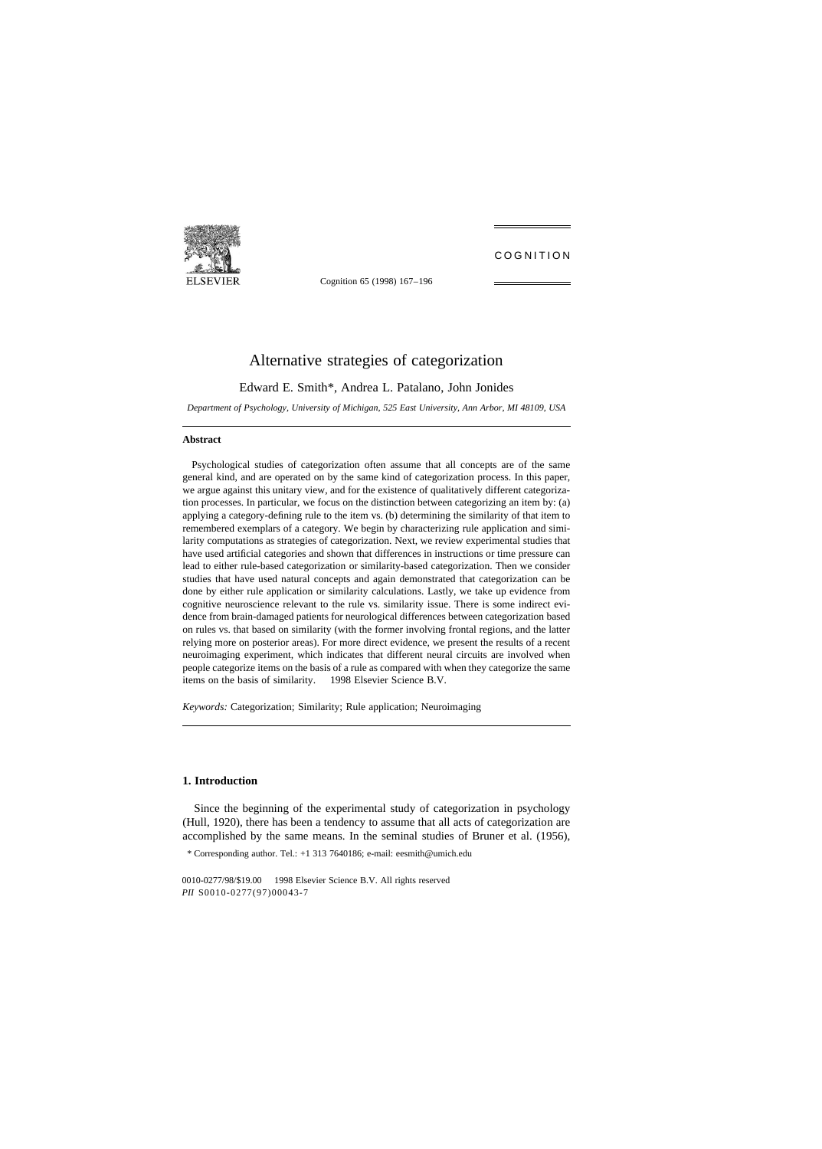

Cognition 65 (1998) 167–196

# COGNITION

# Alternative strategies of categorization

Edward E. Smith\*, Andrea L. Patalano, John Jonides

*Department of Psychology, University of Michigan, 525 East University, Ann Arbor, MI 48109, USA*

#### **Abstract**

Psychological studies of categorization often assume that all concepts are of the same general kind, and are operated on by the same kind of categorization process. In this paper, we argue against this unitary view, and for the existence of qualitatively different categorization processes. In particular, we focus on the distinction between categorizing an item by: (a) applying a category-defining rule to the item vs. (b) determining the similarity of that item to remembered exemplars of a category. We begin by characterizing rule application and similarity computations as strategies of categorization. Next, we review experimental studies that have used artificial categories and shown that differences in instructions or time pressure can lead to either rule-based categorization or similarity-based categorization. Then we consider studies that have used natural concepts and again demonstrated that categorization can be done by either rule application or similarity calculations. Lastly, we take up evidence from cognitive neuroscience relevant to the rule vs. similarity issue. There is some indirect evidence from brain-damaged patients for neurological differences between categorization based on rules vs. that based on similarity (with the former involving frontal regions, and the latter relying more on posterior areas). For more direct evidence, we present the results of a recent neuroimaging experiment, which indicates that different neural circuits are involved when people categorize items on the basis of a rule as compared with when they categorize the same items on the basis of similarity. © 1998 Elsevier Science B.V.

*Keywords:* Categorization; Similarity; Rule application; Neuroimaging

#### **1. Introduction**

Since the beginning of the experimental study of categorization in psychology (Hull, 1920), there has been a tendency to assume that all acts of categorization are accomplished by the same means. In the seminal studies of Bruner et al. (1956),

\* Corresponding author. Tel.: +1 313 7640186; e-mail: eesmith@umich.edu

0010-0277/98/\$19.00 1998 Elsevier Science B.V. All rights reserved *PII* S0010-0277(97)00043-7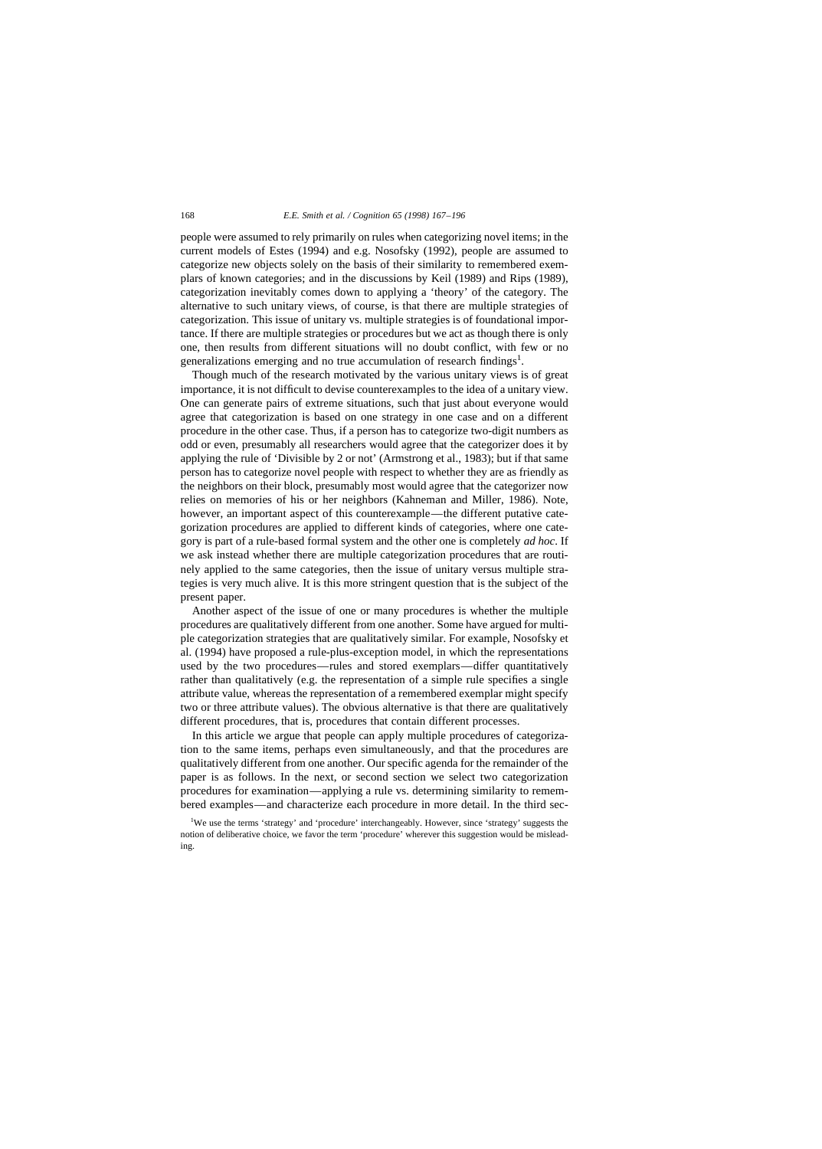people were assumed to rely primarily on rules when categorizing novel items; in the current models of Estes (1994) and e.g. Nosofsky (1992), people are assumed to categorize new objects solely on the basis of their similarity to remembered exemplars of known categories; and in the discussions by Keil (1989) and Rips (1989), categorization inevitably comes down to applying a 'theory' of the category. The alternative to such unitary views, of course, is that there are multiple strategies of categorization. This issue of unitary vs. multiple strategies is of foundational importance. If there are multiple strategies or procedures but we act as though there is only one, then results from different situations will no doubt conflict, with few or no generalizations emerging and no true accumulation of research findings<sup>1</sup>.

Though much of the research motivated by the various unitary views is of great importance, it is not difficult to devise counterexamples to the idea of a unitary view. One can generate pairs of extreme situations, such that just about everyone would agree that categorization is based on one strategy in one case and on a different procedure in the other case. Thus, if a person has to categorize two-digit numbers as odd or even, presumably all researchers would agree that the categorizer does it by applying the rule of 'Divisible by 2 or not' (Armstrong et al., 1983); but if that same person has to categorize novel people with respect to whether they are as friendly as the neighbors on their block, presumably most would agree that the categorizer now relies on memories of his or her neighbors (Kahneman and Miller, 1986). Note, however, an important aspect of this counterexample—the different putative categorization procedures are applied to different kinds of categories, where one category is part of a rule-based formal system and the other one is completely *ad hoc*. If we ask instead whether there are multiple categorization procedures that are routinely applied to the same categories, then the issue of unitary versus multiple strategies is very much alive. It is this more stringent question that is the subject of the present paper.

Another aspect of the issue of one or many procedures is whether the multiple procedures are qualitatively different from one another. Some have argued for multiple categorization strategies that are qualitatively similar. For example, Nosofsky et al. (1994) have proposed a rule-plus-exception model, in which the representations used by the two procedures—rules and stored exemplars—differ quantitatively rather than qualitatively (e.g. the representation of a simple rule specifies a single attribute value, whereas the representation of a remembered exemplar might specify two or three attribute values). The obvious alternative is that there are qualitatively different procedures, that is, procedures that contain different processes.

In this article we argue that people can apply multiple procedures of categorization to the same items, perhaps even simultaneously, and that the procedures are qualitatively different from one another. Our specific agenda for the remainder of the paper is as follows. In the next, or second section we select two categorization procedures for examination—applying a rule vs. determining similarity to remembered examples—and characterize each procedure in more detail. In the third sec-

<sup>&</sup>lt;sup>1</sup>We use the terms 'strategy' and 'procedure' interchangeably. However, since 'strategy' suggests the notion of deliberative choice, we favor the term 'procedure' wherever this suggestion would be misleading.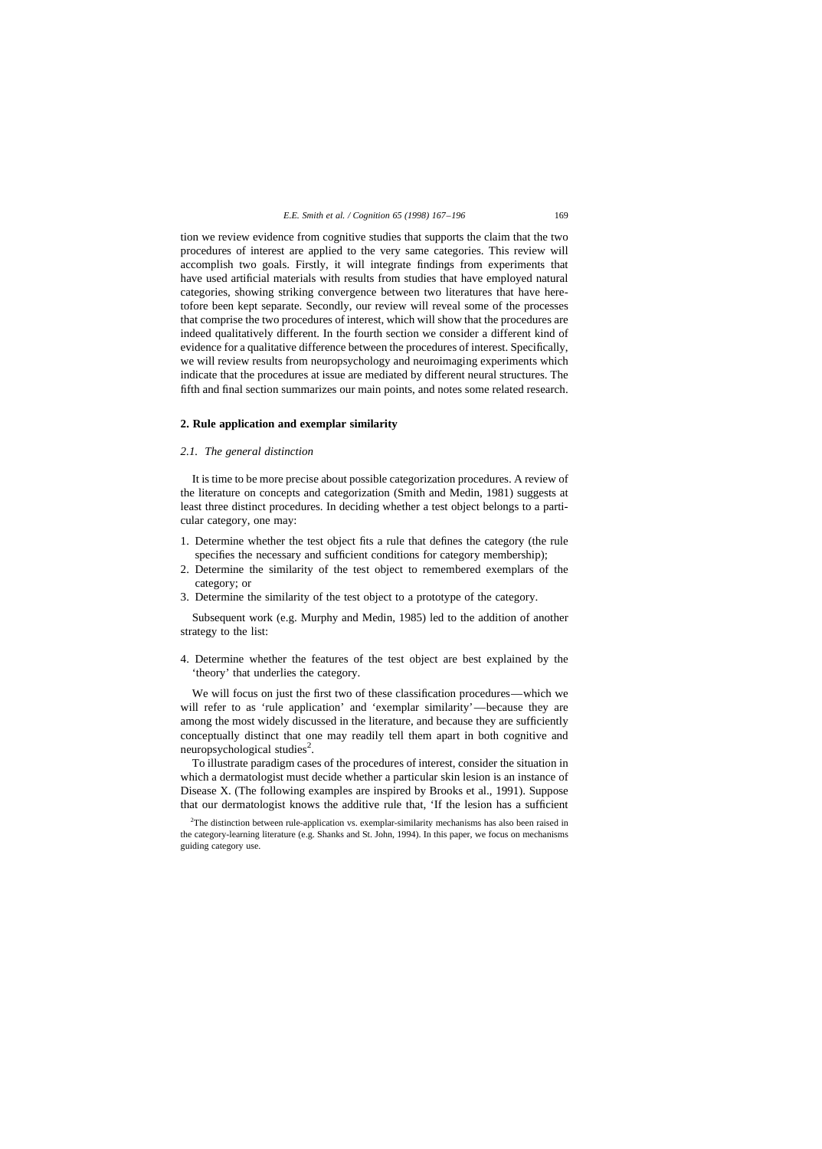tion we review evidence from cognitive studies that supports the claim that the two procedures of interest are applied to the very same categories. This review will accomplish two goals. Firstly, it will integrate findings from experiments that have used artificial materials with results from studies that have employed natural categories, showing striking convergence between two literatures that have heretofore been kept separate. Secondly, our review will reveal some of the processes that comprise the two procedures of interest, which will show that the procedures are indeed qualitatively different. In the fourth section we consider a different kind of evidence for a qualitative difference between the procedures of interest. Specifically, we will review results from neuropsychology and neuroimaging experiments which indicate that the procedures at issue are mediated by different neural structures. The fifth and final section summarizes our main points, and notes some related research.

### **2. Rule application and exemplar similarity**

#### *2.1. The general distinction*

It is time to be more precise about possible categorization procedures. A review of the literature on concepts and categorization (Smith and Medin, 1981) suggests at least three distinct procedures. In deciding whether a test object belongs to a particular category, one may:

- 1. Determine whether the test object fits a rule that defines the category (the rule specifies the necessary and sufficient conditions for category membership);
- 2. Determine the similarity of the test object to remembered exemplars of the category; or
- 3. Determine the similarity of the test object to a prototype of the category.

Subsequent work (e.g. Murphy and Medin, 1985) led to the addition of another strategy to the list:

4. Determine whether the features of the test object are best explained by the 'theory' that underlies the category.

We will focus on just the first two of these classification procedures—which we will refer to as 'rule application' and 'exemplar similarity'—because they are among the most widely discussed in the literature, and because they are sufficiently conceptually distinct that one may readily tell them apart in both cognitive and neuropsychological studies<sup>2</sup>.

To illustrate paradigm cases of the procedures of interest, consider the situation in which a dermatologist must decide whether a particular skin lesion is an instance of Disease X. (The following examples are inspired by Brooks et al., 1991). Suppose that our dermatologist knows the additive rule that, 'If the lesion has a sufficient

 $2$ The distinction between rule-application vs. exemplar-similarity mechanisms has also been raised in the category-learning literature (e.g. Shanks and St. John, 1994). In this paper, we focus on mechanisms guiding category use.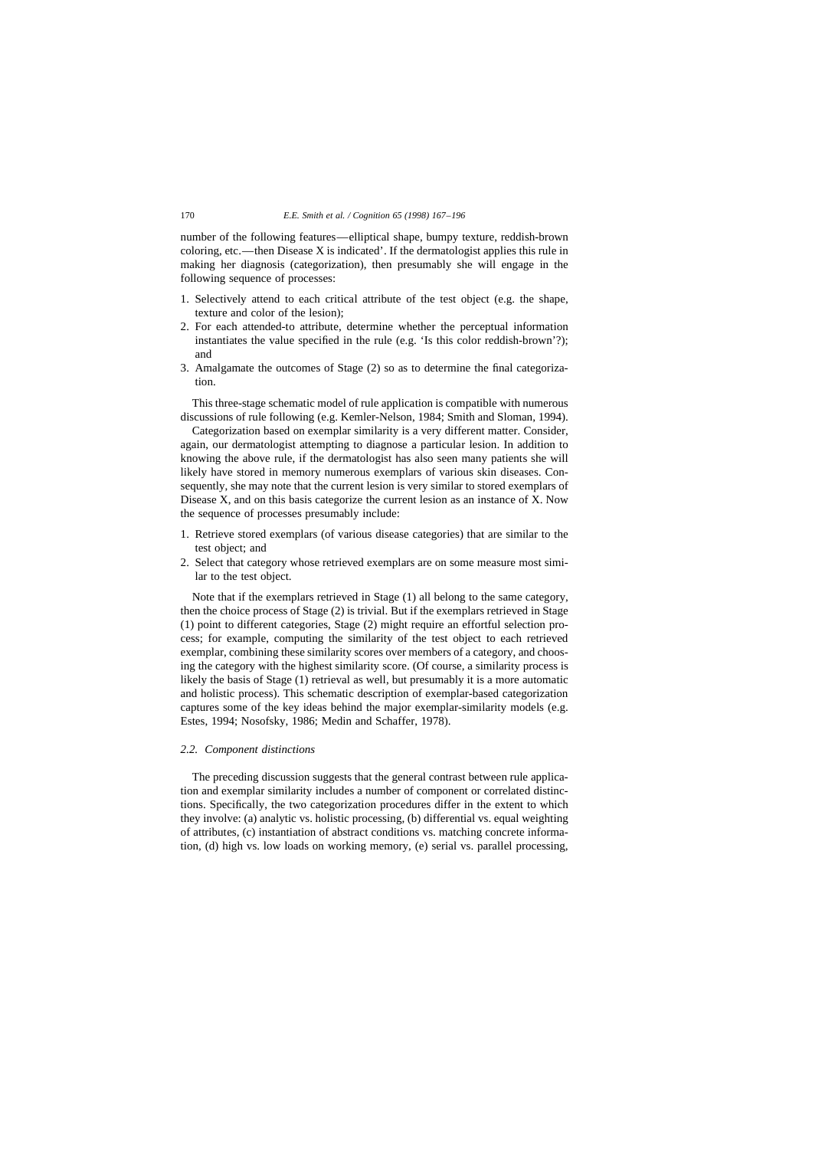number of the following features—elliptical shape, bumpy texture, reddish-brown coloring, etc.—then Disease X is indicated'. If the dermatologist applies this rule in making her diagnosis (categorization), then presumably she will engage in the following sequence of processes:

- 1. Selectively attend to each critical attribute of the test object (e.g. the shape, texture and color of the lesion);
- 2. For each attended-to attribute, determine whether the perceptual information instantiates the value specified in the rule (e.g. 'Is this color reddish-brown'?); and
- 3. Amalgamate the outcomes of Stage (2) so as to determine the final categorization.

This three-stage schematic model of rule application is compatible with numerous discussions of rule following (e.g. Kemler-Nelson, 1984; Smith and Sloman, 1994).

Categorization based on exemplar similarity is a very different matter. Consider, again, our dermatologist attempting to diagnose a particular lesion. In addition to knowing the above rule, if the dermatologist has also seen many patients she will likely have stored in memory numerous exemplars of various skin diseases. Consequently, she may note that the current lesion is very similar to stored exemplars of Disease X, and on this basis categorize the current lesion as an instance of X. Now the sequence of processes presumably include:

- 1. Retrieve stored exemplars (of various disease categories) that are similar to the test object; and
- 2. Select that category whose retrieved exemplars are on some measure most similar to the test object.

Note that if the exemplars retrieved in Stage (1) all belong to the same category, then the choice process of Stage (2) is trivial. But if the exemplars retrieved in Stage (1) point to different categories, Stage (2) might require an effortful selection process; for example, computing the similarity of the test object to each retrieved exemplar, combining these similarity scores over members of a category, and choosing the category with the highest similarity score. (Of course, a similarity process is likely the basis of Stage (1) retrieval as well, but presumably it is a more automatic and holistic process). This schematic description of exemplar-based categorization captures some of the key ideas behind the major exemplar-similarity models (e.g. Estes, 1994; Nosofsky, 1986; Medin and Schaffer, 1978).

## *2.2. Component distinctions*

The preceding discussion suggests that the general contrast between rule application and exemplar similarity includes a number of component or correlated distinctions. Specifically, the two categorization procedures differ in the extent to which they involve: (a) analytic vs. holistic processing, (b) differential vs. equal weighting of attributes, (c) instantiation of abstract conditions vs. matching concrete information, (d) high vs. low loads on working memory, (e) serial vs. parallel processing,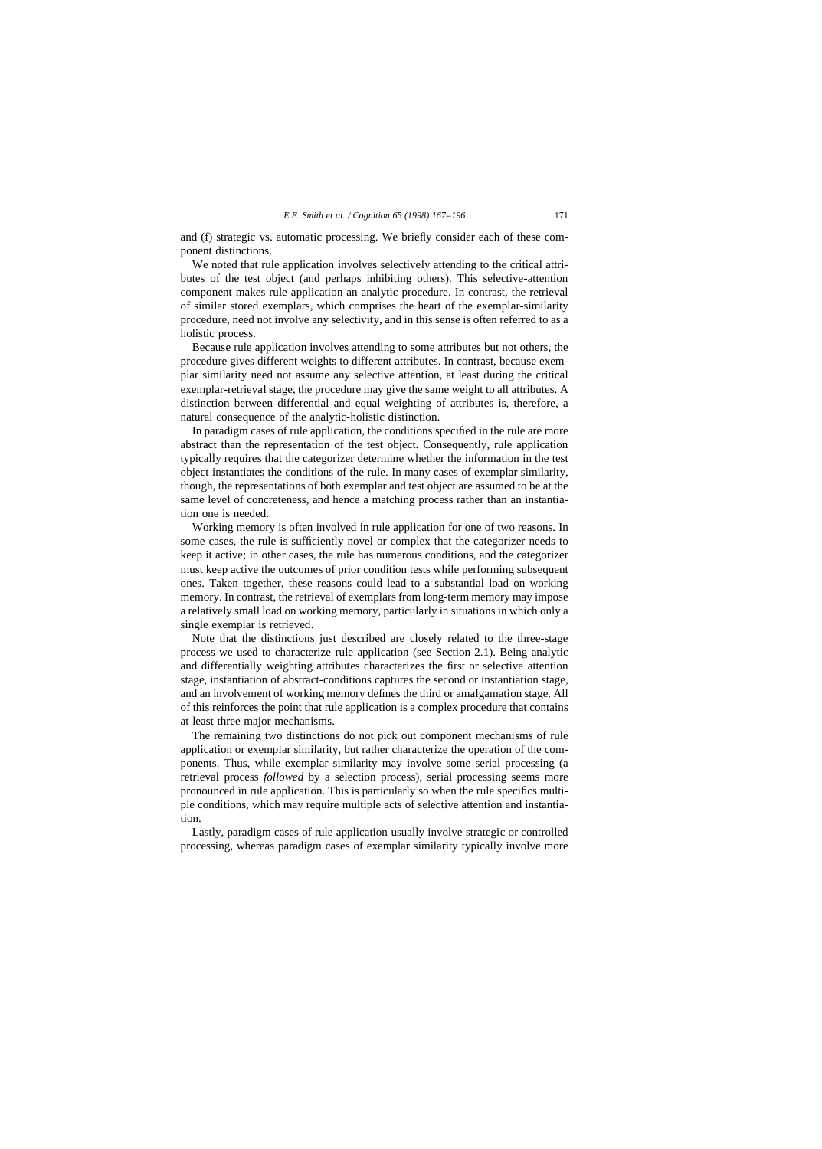and (f) strategic vs. automatic processing. We briefly consider each of these component distinctions.

We noted that rule application involves selectively attending to the critical attributes of the test object (and perhaps inhibiting others). This selective-attention component makes rule-application an analytic procedure. In contrast, the retrieval of similar stored exemplars, which comprises the heart of the exemplar-similarity procedure, need not involve any selectivity, and in this sense is often referred to as a holistic process.

Because rule application involves attending to some attributes but not others, the procedure gives different weights to different attributes. In contrast, because exemplar similarity need not assume any selective attention, at least during the critical exemplar-retrieval stage, the procedure may give the same weight to all attributes. A distinction between differential and equal weighting of attributes is, therefore, a natural consequence of the analytic-holistic distinction.

In paradigm cases of rule application, the conditions specified in the rule are more abstract than the representation of the test object. Consequently, rule application typically requires that the categorizer determine whether the information in the test object instantiates the conditions of the rule. In many cases of exemplar similarity, though, the representations of both exemplar and test object are assumed to be at the same level of concreteness, and hence a matching process rather than an instantiation one is needed.

Working memory is often involved in rule application for one of two reasons. In some cases, the rule is sufficiently novel or complex that the categorizer needs to keep it active; in other cases, the rule has numerous conditions, and the categorizer must keep active the outcomes of prior condition tests while performing subsequent ones. Taken together, these reasons could lead to a substantial load on working memory. In contrast, the retrieval of exemplars from long-term memory may impose a relatively small load on working memory, particularly in situations in which only a single exemplar is retrieved.

Note that the distinctions just described are closely related to the three-stage process we used to characterize rule application (see Section 2.1). Being analytic and differentially weighting attributes characterizes the first or selective attention stage, instantiation of abstract-conditions captures the second or instantiation stage, and an involvement of working memory defines the third or amalgamation stage. All of this reinforces the point that rule application is a complex procedure that contains at least three major mechanisms.

The remaining two distinctions do not pick out component mechanisms of rule application or exemplar similarity, but rather characterize the operation of the components. Thus, while exemplar similarity may involve some serial processing (a retrieval process *followed* by a selection process), serial processing seems more pronounced in rule application. This is particularly so when the rule specifics multiple conditions, which may require multiple acts of selective attention and instantiation.

Lastly, paradigm cases of rule application usually involve strategic or controlled processing, whereas paradigm cases of exemplar similarity typically involve more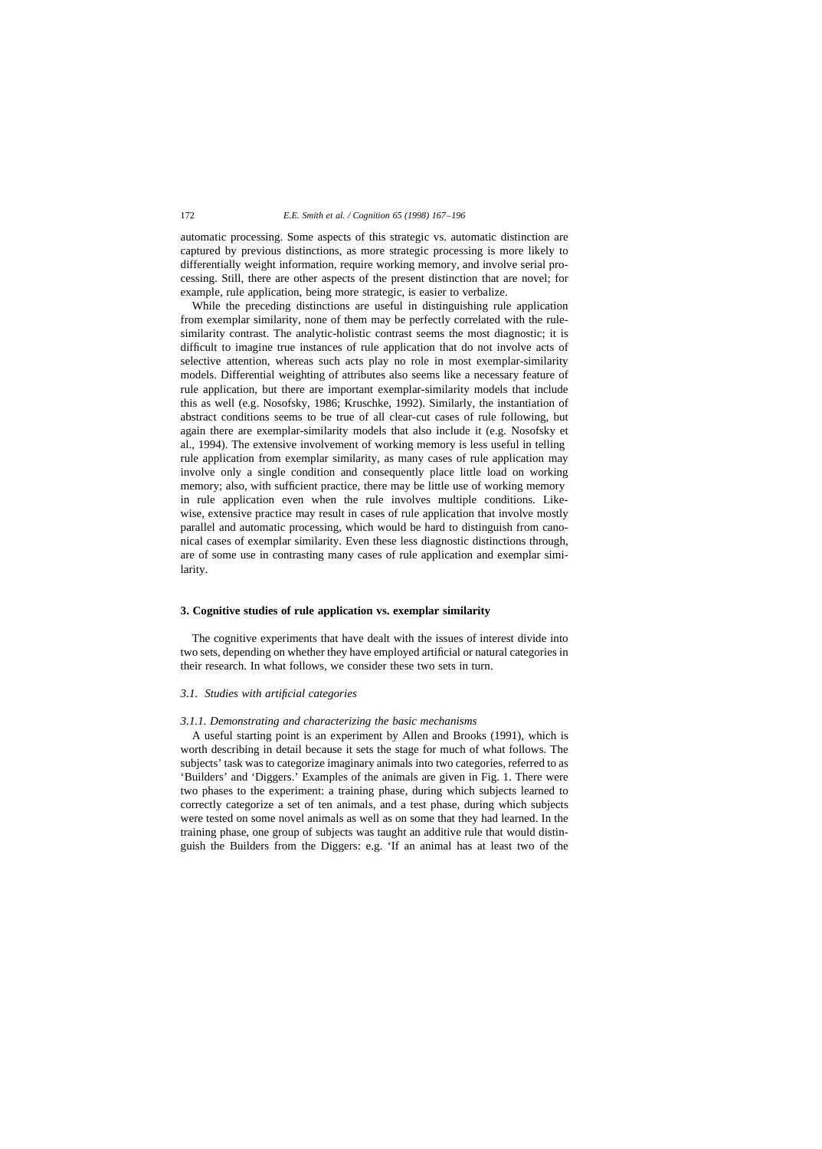automatic processing. Some aspects of this strategic vs. automatic distinction are captured by previous distinctions, as more strategic processing is more likely to differentially weight information, require working memory, and involve serial processing. Still, there are other aspects of the present distinction that are novel; for example, rule application, being more strategic, is easier to verbalize.

While the preceding distinctions are useful in distinguishing rule application from exemplar similarity, none of them may be perfectly correlated with the rulesimilarity contrast. The analytic-holistic contrast seems the most diagnostic; it is difficult to imagine true instances of rule application that do not involve acts of selective attention, whereas such acts play no role in most exemplar-similarity models. Differential weighting of attributes also seems like a necessary feature of rule application, but there are important exemplar-similarity models that include this as well (e.g. Nosofsky, 1986; Kruschke, 1992). Similarly, the instantiation of abstract conditions seems to be true of all clear-cut cases of rule following, but again there are exemplar-similarity models that also include it (e.g. Nosofsky et al., 1994). The extensive involvement of working memory is less useful in telling rule application from exemplar similarity, as many cases of rule application may involve only a single condition and consequently place little load on working memory; also, with sufficient practice, there may be little use of working memory in rule application even when the rule involves multiple conditions. Likewise, extensive practice may result in cases of rule application that involve mostly parallel and automatic processing, which would be hard to distinguish from canonical cases of exemplar similarity. Even these less diagnostic distinctions through, are of some use in contrasting many cases of rule application and exemplar similarity.

## **3. Cognitive studies of rule application vs. exemplar similarity**

The cognitive experiments that have dealt with the issues of interest divide into two sets, depending on whether they have employed artificial or natural categories in their research. In what follows, we consider these two sets in turn.

## *3.1. Studies with artificial categories*

#### *3.1.1. Demonstrating and characterizing the basic mechanisms*

A useful starting point is an experiment by Allen and Brooks (1991), which is worth describing in detail because it sets the stage for much of what follows. The subjects' task was to categorize imaginary animals into two categories, referred to as 'Builders' and 'Diggers.' Examples of the animals are given in Fig. 1. There were two phases to the experiment: a training phase, during which subjects learned to correctly categorize a set of ten animals, and a test phase, during which subjects were tested on some novel animals as well as on some that they had learned. In the training phase, one group of subjects was taught an additive rule that would distinguish the Builders from the Diggers: e.g. 'If an animal has at least two of the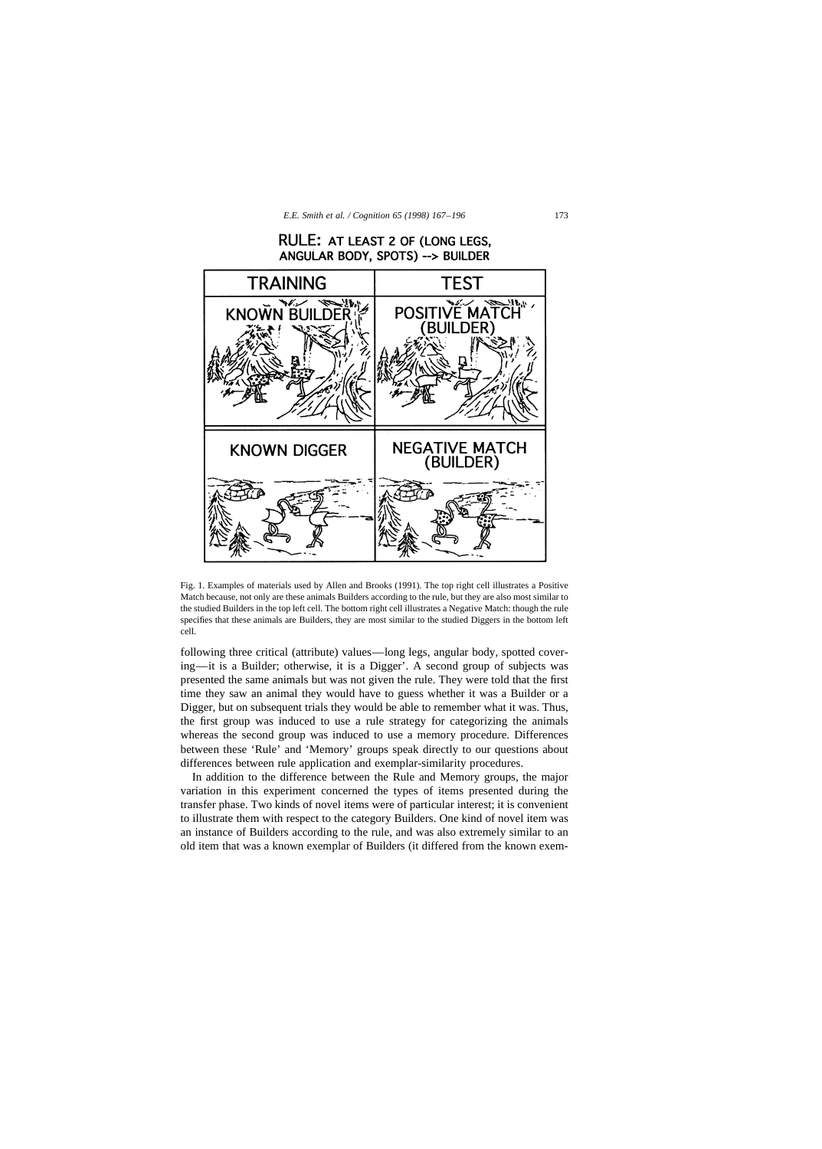

Fig. 1. Examples of materials used by Allen and Brooks (1991). The top right cell illustrates a Positive Match because, not only are these animals Builders according to the rule, but they are also most similar to the studied Builders in the top left cell. The bottom right cell illustrates a Negative Match: though the rule specifies that these animals are Builders, they are most similar to the studied Diggers in the bottom left cell.

following three critical (attribute) values—long legs, angular body, spotted covering—it is a Builder; otherwise, it is a Digger'. A second group of subjects was presented the same animals but was not given the rule. They were told that the first time they saw an animal they would have to guess whether it was a Builder or a Digger, but on subsequent trials they would be able to remember what it was. Thus, the first group was induced to use a rule strategy for categorizing the animals whereas the second group was induced to use a memory procedure. Differences between these 'Rule' and 'Memory' groups speak directly to our questions about differences between rule application and exemplar-similarity procedures.

In addition to the difference between the Rule and Memory groups, the major variation in this experiment concerned the types of items presented during the transfer phase. Two kinds of novel items were of particular interest; it is convenient to illustrate them with respect to the category Builders. One kind of novel item was an instance of Builders according to the rule, and was also extremely similar to an old item that was a known exemplar of Builders (it differed from the known exem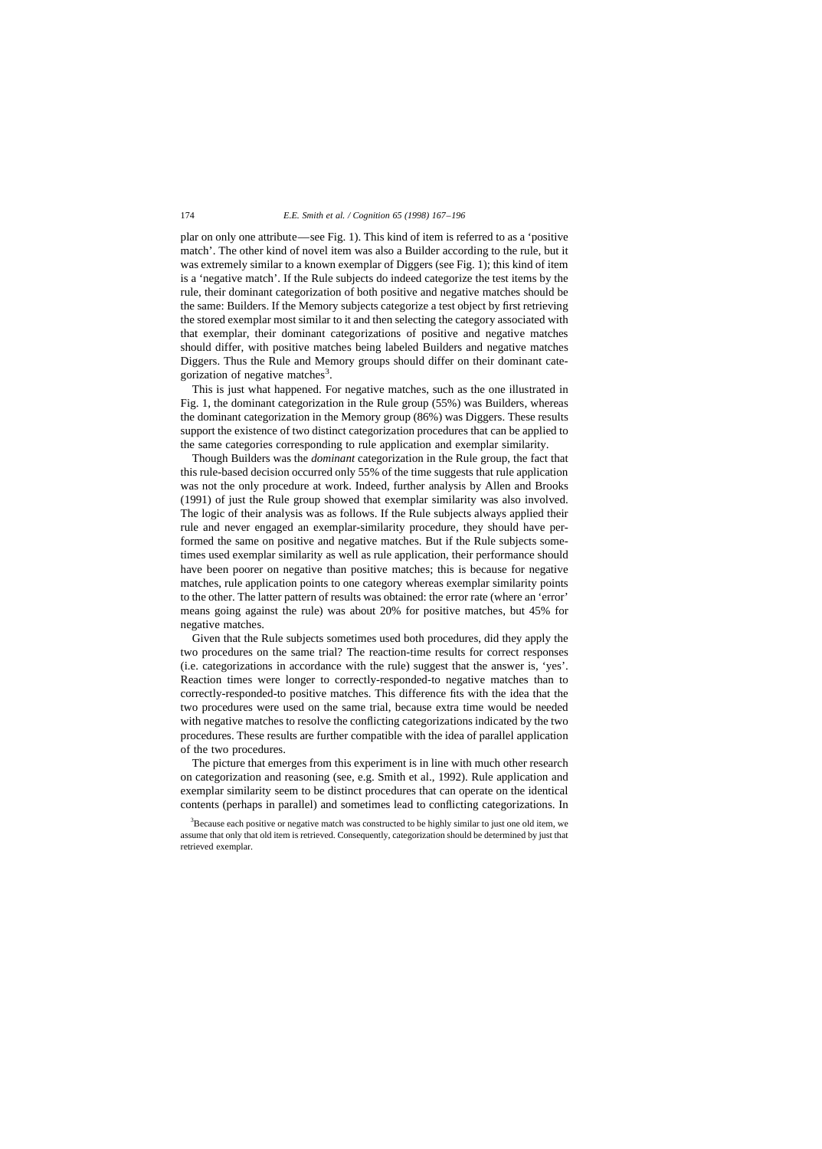plar on only one attribute—see Fig. 1). This kind of item is referred to as a 'positive match'. The other kind of novel item was also a Builder according to the rule, but it was extremely similar to a known exemplar of Diggers (see Fig. 1); this kind of item is a 'negative match'. If the Rule subjects do indeed categorize the test items by the rule, their dominant categorization of both positive and negative matches should be the same: Builders. If the Memory subjects categorize a test object by first retrieving the stored exemplar most similar to it and then selecting the category associated with that exemplar, their dominant categorizations of positive and negative matches should differ, with positive matches being labeled Builders and negative matches Diggers. Thus the Rule and Memory groups should differ on their dominant categorization of negative matches<sup>3</sup>.

This is just what happened. For negative matches, such as the one illustrated in Fig. 1, the dominant categorization in the Rule group (55%) was Builders, whereas the dominant categorization in the Memory group (86%) was Diggers. These results support the existence of two distinct categorization procedures that can be applied to the same categories corresponding to rule application and exemplar similarity.

Though Builders was the *dominant* categorization in the Rule group, the fact that this rule-based decision occurred only 55% of the time suggests that rule application was not the only procedure at work. Indeed, further analysis by Allen and Brooks (1991) of just the Rule group showed that exemplar similarity was also involved. The logic of their analysis was as follows. If the Rule subjects always applied their rule and never engaged an exemplar-similarity procedure, they should have performed the same on positive and negative matches. But if the Rule subjects sometimes used exemplar similarity as well as rule application, their performance should have been poorer on negative than positive matches; this is because for negative matches, rule application points to one category whereas exemplar similarity points to the other. The latter pattern of results was obtained: the error rate (where an 'error' means going against the rule) was about 20% for positive matches, but 45% for negative matches.

Given that the Rule subjects sometimes used both procedures, did they apply the two procedures on the same trial? The reaction-time results for correct responses (i.e. categorizations in accordance with the rule) suggest that the answer is, 'yes'. Reaction times were longer to correctly-responded-to negative matches than to correctly-responded-to positive matches. This difference fits with the idea that the two procedures were used on the same trial, because extra time would be needed with negative matches to resolve the conflicting categorizations indicated by the two procedures. These results are further compatible with the idea of parallel application of the two procedures.

The picture that emerges from this experiment is in line with much other research on categorization and reasoning (see, e.g. Smith et al., 1992). Rule application and exemplar similarity seem to be distinct procedures that can operate on the identical contents (perhaps in parallel) and sometimes lead to conflicting categorizations. In

 $3$ Because each positive or negative match was constructed to be highly similar to just one old item, we assume that only that old item is retrieved. Consequently, categorization should be determined by just that retrieved exemplar.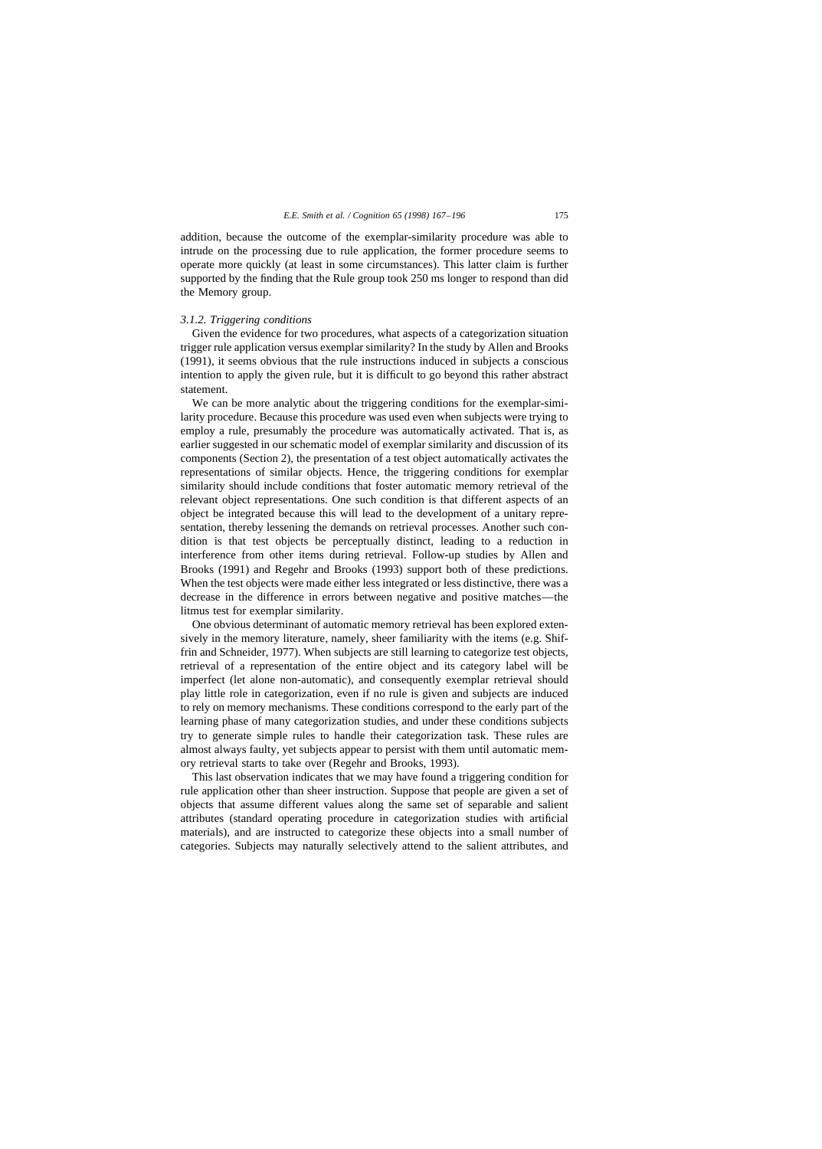addition, because the outcome of the exemplar-similarity procedure was able to intrude on the processing due to rule application, the former procedure seems to operate more quickly (at least in some circumstances). This latter claim is further supported by the finding that the Rule group took 250 ms longer to respond than did the Memory group.

#### *3.1.2. Triggering conditions*

Given the evidence for two procedures, what aspects of a categorization situation trigger rule application versus exemplar similarity? In the study by Allen and Brooks (1991), it seems obvious that the rule instructions induced in subjects a conscious intention to apply the given rule, but it is difficult to go beyond this rather abstract statement.

We can be more analytic about the triggering conditions for the exemplar-similarity procedure. Because this procedure was used even when subjects were trying to employ a rule, presumably the procedure was automatically activated. That is, as earlier suggested in our schematic model of exemplar similarity and discussion of its components (Section 2), the presentation of a test object automatically activates the representations of similar objects. Hence, the triggering conditions for exemplar similarity should include conditions that foster automatic memory retrieval of the relevant object representations. One such condition is that different aspects of an object be integrated because this will lead to the development of a unitary representation, thereby lessening the demands on retrieval processes. Another such condition is that test objects be perceptually distinct, leading to a reduction in interference from other items during retrieval. Follow-up studies by Allen and Brooks (1991) and Regehr and Brooks (1993) support both of these predictions. When the test objects were made either less integrated or less distinctive, there was a decrease in the difference in errors between negative and positive matches—the litmus test for exemplar similarity.

One obvious determinant of automatic memory retrieval has been explored extensively in the memory literature, namely, sheer familiarity with the items (e.g. Shiffrin and Schneider, 1977). When subjects are still learning to categorize test objects, retrieval of a representation of the entire object and its category label will be imperfect (let alone non-automatic), and consequently exemplar retrieval should play little role in categorization, even if no rule is given and subjects are induced to rely on memory mechanisms. These conditions correspond to the early part of the learning phase of many categorization studies, and under these conditions subjects try to generate simple rules to handle their categorization task. These rules are almost always faulty, yet subjects appear to persist with them until automatic memory retrieval starts to take over (Regehr and Brooks, 1993).

This last observation indicates that we may have found a triggering condition for rule application other than sheer instruction. Suppose that people are given a set of objects that assume different values along the same set of separable and salient attributes (standard operating procedure in categorization studies with artificial materials), and are instructed to categorize these objects into a small number of categories. Subjects may naturally selectively attend to the salient attributes, and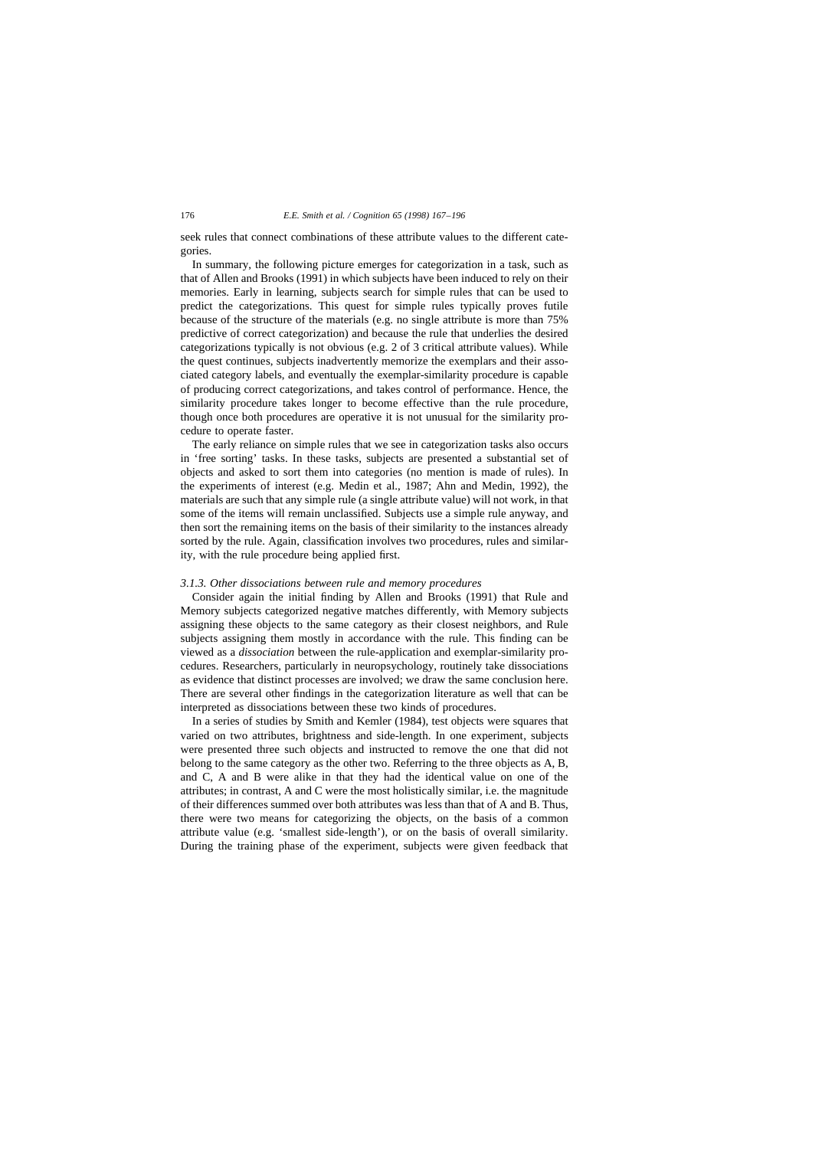seek rules that connect combinations of these attribute values to the different categories.

In summary, the following picture emerges for categorization in a task, such as that of Allen and Brooks (1991) in which subjects have been induced to rely on their memories. Early in learning, subjects search for simple rules that can be used to predict the categorizations. This quest for simple rules typically proves futile because of the structure of the materials (e.g. no single attribute is more than 75% predictive of correct categorization) and because the rule that underlies the desired categorizations typically is not obvious (e.g. 2 of 3 critical attribute values). While the quest continues, subjects inadvertently memorize the exemplars and their associated category labels, and eventually the exemplar-similarity procedure is capable of producing correct categorizations, and takes control of performance. Hence, the similarity procedure takes longer to become effective than the rule procedure, though once both procedures are operative it is not unusual for the similarity procedure to operate faster.

The early reliance on simple rules that we see in categorization tasks also occurs in 'free sorting' tasks. In these tasks, subjects are presented a substantial set of objects and asked to sort them into categories (no mention is made of rules). In the experiments of interest (e.g. Medin et al., 1987; Ahn and Medin, 1992), the materials are such that any simple rule (a single attribute value) will not work, in that some of the items will remain unclassified. Subjects use a simple rule anyway, and then sort the remaining items on the basis of their similarity to the instances already sorted by the rule. Again, classification involves two procedures, rules and similarity, with the rule procedure being applied first.

#### *3.1.3. Other dissociations between rule and memory procedures*

Consider again the initial finding by Allen and Brooks (1991) that Rule and Memory subjects categorized negative matches differently, with Memory subjects assigning these objects to the same category as their closest neighbors, and Rule subjects assigning them mostly in accordance with the rule. This finding can be viewed as a *dissociation* between the rule-application and exemplar-similarity procedures. Researchers, particularly in neuropsychology, routinely take dissociations as evidence that distinct processes are involved; we draw the same conclusion here. There are several other findings in the categorization literature as well that can be interpreted as dissociations between these two kinds of procedures.

In a series of studies by Smith and Kemler (1984), test objects were squares that varied on two attributes, brightness and side-length. In one experiment, subjects were presented three such objects and instructed to remove the one that did not belong to the same category as the other two. Referring to the three objects as A, B, and C, A and B were alike in that they had the identical value on one of the attributes; in contrast, A and C were the most holistically similar, i.e. the magnitude of their differences summed over both attributes was less than that of A and B. Thus, there were two means for categorizing the objects, on the basis of a common attribute value (e.g. 'smallest side-length'), or on the basis of overall similarity. During the training phase of the experiment, subjects were given feedback that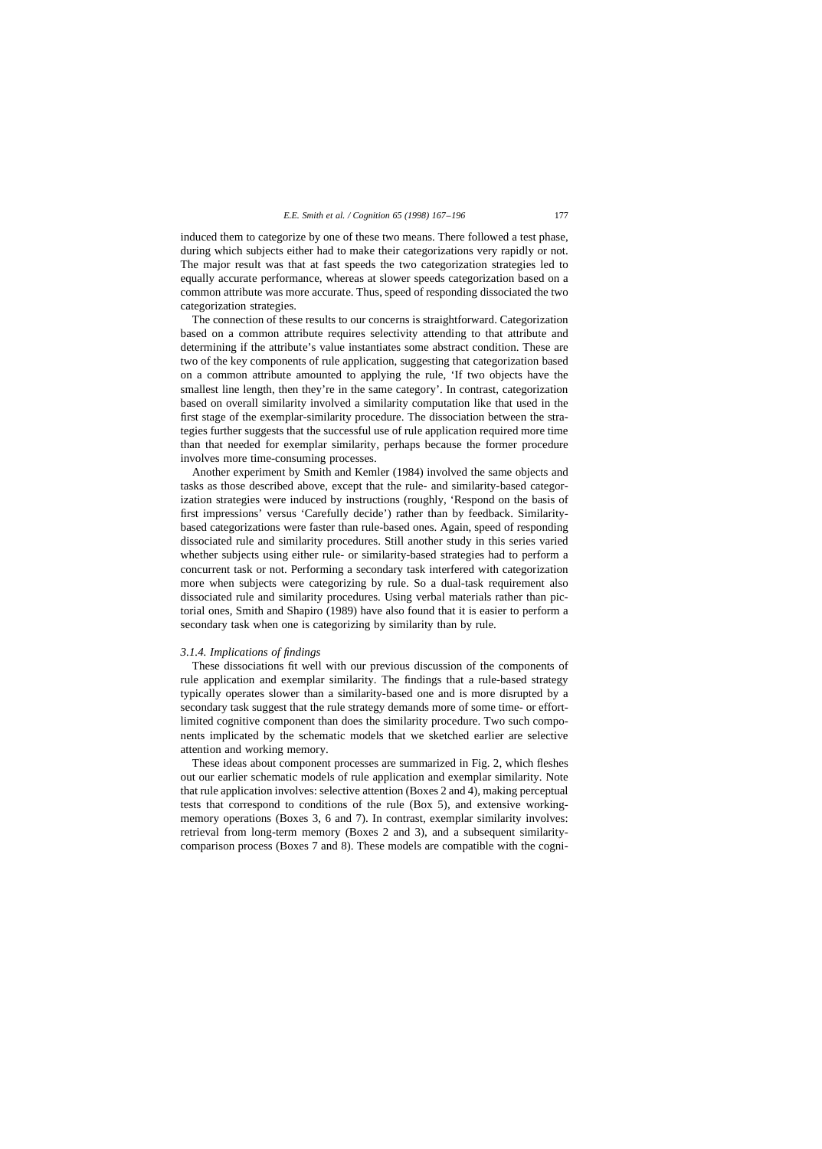induced them to categorize by one of these two means. There followed a test phase, during which subjects either had to make their categorizations very rapidly or not. The major result was that at fast speeds the two categorization strategies led to equally accurate performance, whereas at slower speeds categorization based on a common attribute was more accurate. Thus, speed of responding dissociated the two categorization strategies.

The connection of these results to our concerns is straightforward. Categorization based on a common attribute requires selectivity attending to that attribute and determining if the attribute's value instantiates some abstract condition. These are two of the key components of rule application, suggesting that categorization based on a common attribute amounted to applying the rule, 'If two objects have the smallest line length, then they're in the same category'. In contrast, categorization based on overall similarity involved a similarity computation like that used in the first stage of the exemplar-similarity procedure. The dissociation between the strategies further suggests that the successful use of rule application required more time than that needed for exemplar similarity, perhaps because the former procedure involves more time-consuming processes.

Another experiment by Smith and Kemler (1984) involved the same objects and tasks as those described above, except that the rule- and similarity-based categorization strategies were induced by instructions (roughly, 'Respond on the basis of first impressions' versus 'Carefully decide') rather than by feedback. Similaritybased categorizations were faster than rule-based ones. Again, speed of responding dissociated rule and similarity procedures. Still another study in this series varied whether subjects using either rule- or similarity-based strategies had to perform a concurrent task or not. Performing a secondary task interfered with categorization more when subjects were categorizing by rule. So a dual-task requirement also dissociated rule and similarity procedures. Using verbal materials rather than pictorial ones, Smith and Shapiro (1989) have also found that it is easier to perform a secondary task when one is categorizing by similarity than by rule.

#### *3.1.4. Implications of findings*

These dissociations fit well with our previous discussion of the components of rule application and exemplar similarity. The findings that a rule-based strategy typically operates slower than a similarity-based one and is more disrupted by a secondary task suggest that the rule strategy demands more of some time- or effortlimited cognitive component than does the similarity procedure. Two such components implicated by the schematic models that we sketched earlier are selective attention and working memory.

These ideas about component processes are summarized in Fig. 2, which fleshes out our earlier schematic models of rule application and exemplar similarity. Note that rule application involves: selective attention (Boxes 2 and 4), making perceptual tests that correspond to conditions of the rule (Box 5), and extensive workingmemory operations (Boxes 3, 6 and 7). In contrast, exemplar similarity involves: retrieval from long-term memory (Boxes 2 and 3), and a subsequent similaritycomparison process (Boxes 7 and 8). These models are compatible with the cogni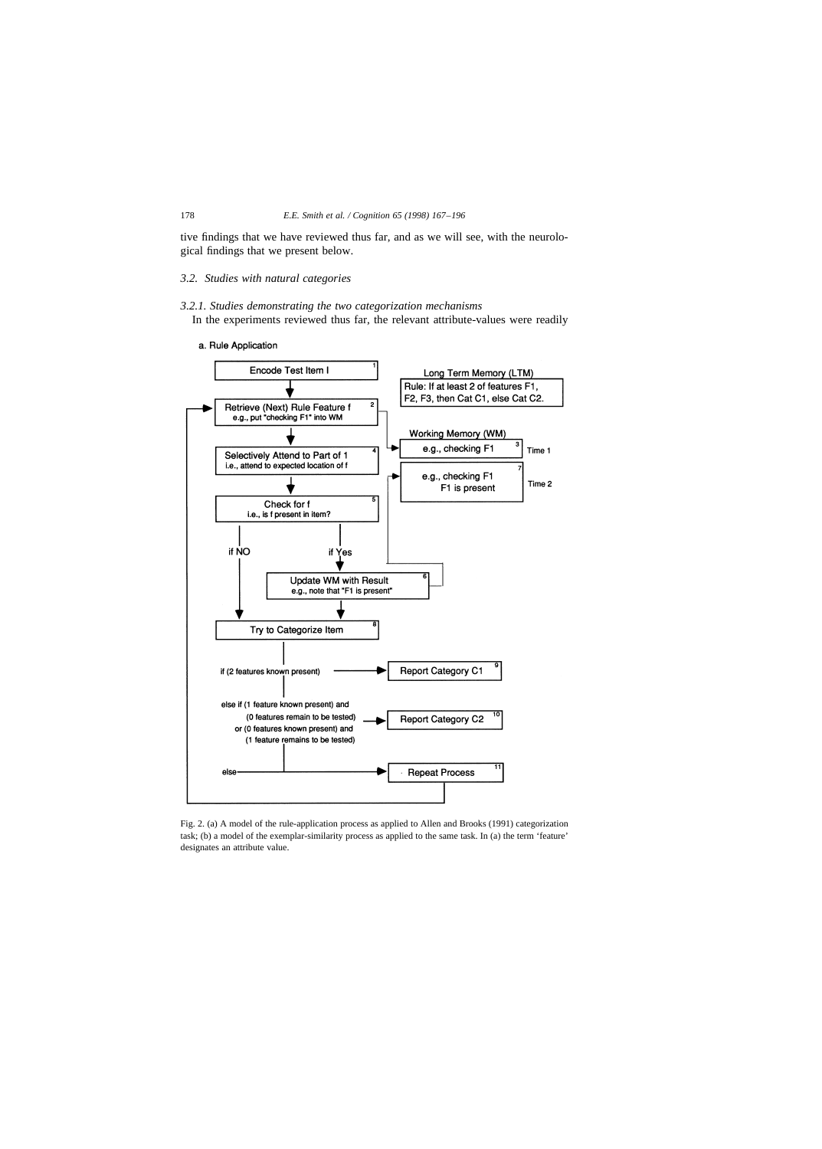tive findings that we have reviewed thus far, and as we will see, with the neurological findings that we present below.

### *3.2. Studies with natural categories*

*3.2.1. Studies demonstrating the two categorization mechanisms*

In the experiments reviewed thus far, the relevant attribute-values were readily

a. Rule Application



Fig. 2. (a) A model of the rule-application process as applied to Allen and Brooks (1991) categorization task; (b) a model of the exemplar-similarity process as applied to the same task. In (a) the term 'feature' designates an attribute value.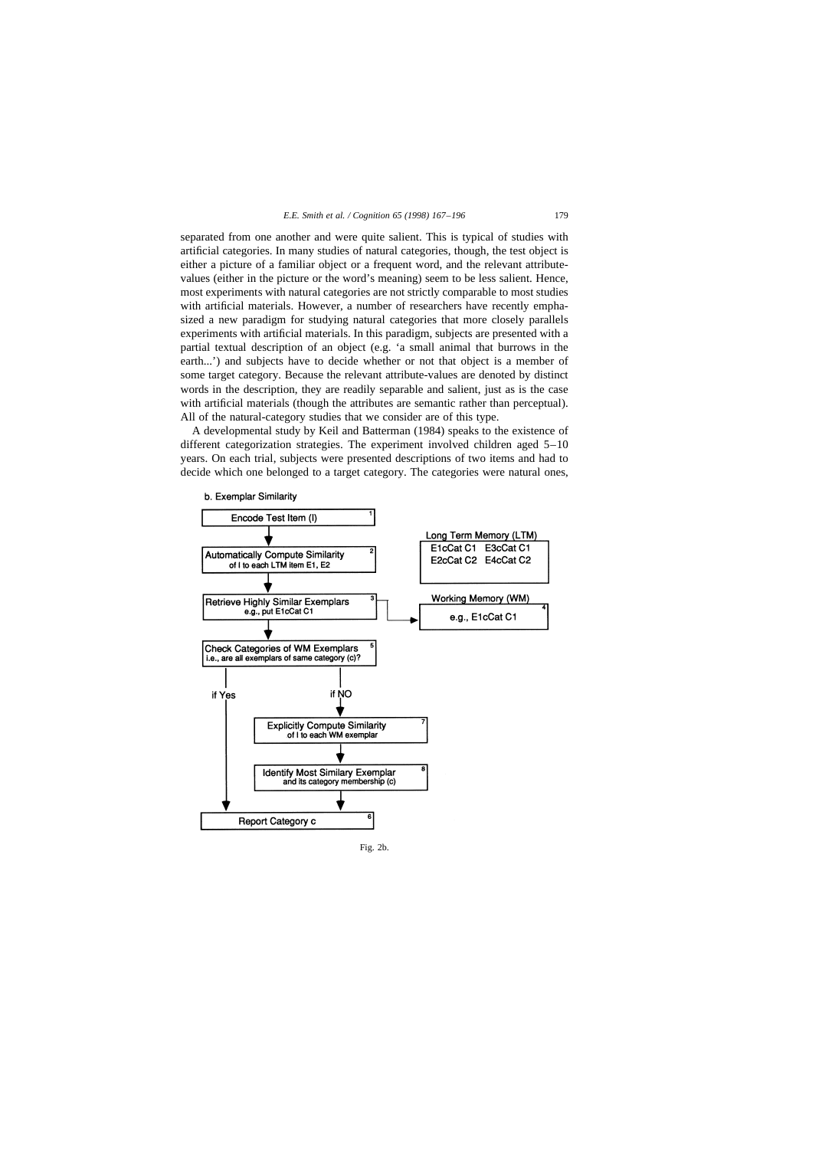separated from one another and were quite salient. This is typical of studies with artificial categories. In many studies of natural categories, though, the test object is either a picture of a familiar object or a frequent word, and the relevant attributevalues (either in the picture or the word's meaning) seem to be less salient. Hence, most experiments with natural categories are not strictly comparable to most studies with artificial materials. However, a number of researchers have recently emphasized a new paradigm for studying natural categories that more closely parallels experiments with artificial materials. In this paradigm, subjects are presented with a partial textual description of an object (e.g. 'a small animal that burrows in the earth...') and subjects have to decide whether or not that object is a member of some target category. Because the relevant attribute-values are denoted by distinct words in the description, they are readily separable and salient, just as is the case with artificial materials (though the attributes are semantic rather than perceptual). All of the natural-category studies that we consider are of this type.

A developmental study by Keil and Batterman (1984) speaks to the existence of different categorization strategies. The experiment involved children aged 5–10 years. On each trial, subjects were presented descriptions of two items and had to decide which one belonged to a target category. The categories were natural ones,

![](_page_12_Figure_3.jpeg)

b. Exemplar Similarity

Fig. 2b.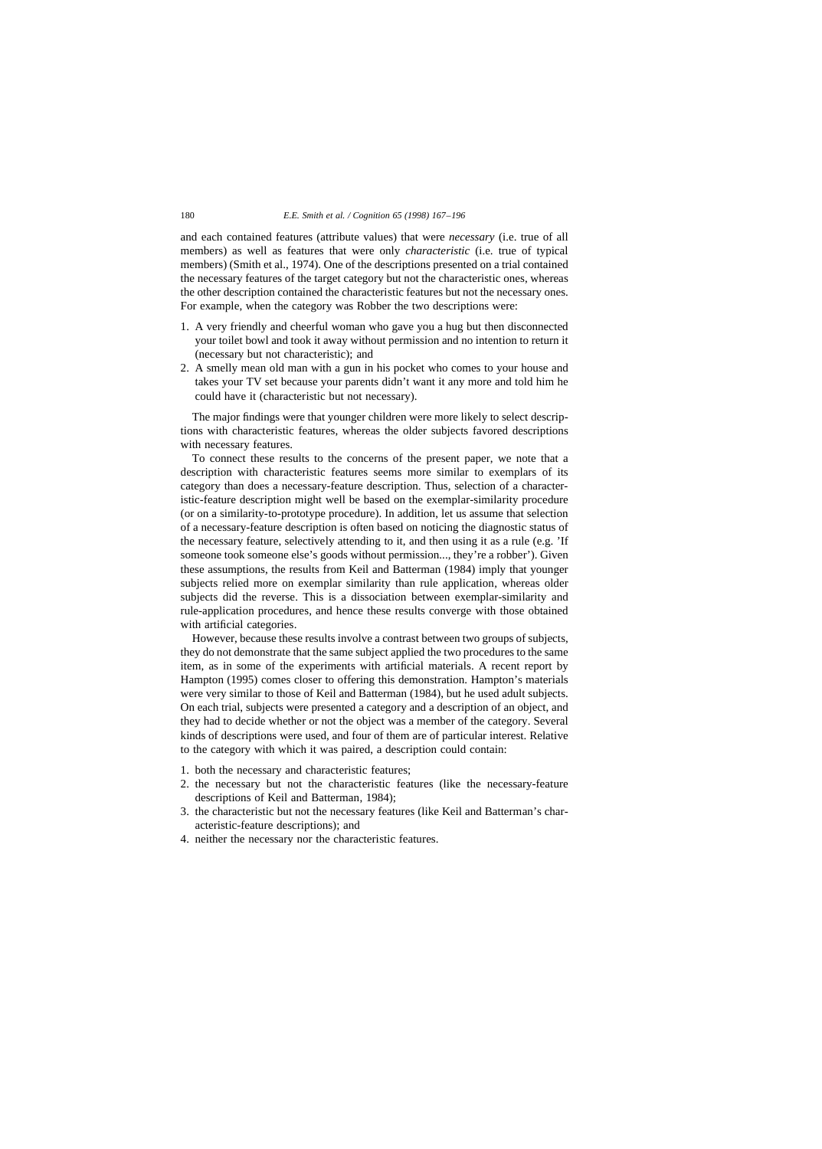and each contained features (attribute values) that were *necessary* (i.e. true of all members) as well as features that were only *characteristic* (i.e. true of typical members) (Smith et al., 1974). One of the descriptions presented on a trial contained the necessary features of the target category but not the characteristic ones, whereas the other description contained the characteristic features but not the necessary ones. For example, when the category was Robber the two descriptions were:

- 1. A very friendly and cheerful woman who gave you a hug but then disconnected your toilet bowl and took it away without permission and no intention to return it (necessary but not characteristic); and
- 2. A smelly mean old man with a gun in his pocket who comes to your house and takes your TV set because your parents didn't want it any more and told him he could have it (characteristic but not necessary).

The major findings were that younger children were more likely to select descriptions with characteristic features, whereas the older subjects favored descriptions with necessary features.

To connect these results to the concerns of the present paper, we note that a description with characteristic features seems more similar to exemplars of its category than does a necessary-feature description. Thus, selection of a characteristic-feature description might well be based on the exemplar-similarity procedure (or on a similarity-to-prototype procedure). In addition, let us assume that selection of a necessary-feature description is often based on noticing the diagnostic status of the necessary feature, selectively attending to it, and then using it as a rule (e.g.  $'If$ someone took someone else's goods without permission..., they're a robber'). Given these assumptions, the results from Keil and Batterman (1984) imply that younger subjects relied more on exemplar similarity than rule application, whereas older subjects did the reverse. This is a dissociation between exemplar-similarity and rule-application procedures, and hence these results converge with those obtained with artificial categories.

However, because these results involve a contrast between two groups of subjects, they do not demonstrate that the same subject applied the two procedures to the same item, as in some of the experiments with artificial materials. A recent report by Hampton (1995) comes closer to offering this demonstration. Hampton's materials were very similar to those of Keil and Batterman (1984), but he used adult subjects. On each trial, subjects were presented a category and a description of an object, and they had to decide whether or not the object was a member of the category. Several kinds of descriptions were used, and four of them are of particular interest. Relative to the category with which it was paired, a description could contain:

- 1. both the necessary and characteristic features;
- 2. the necessary but not the characteristic features (like the necessary-feature descriptions of Keil and Batterman, 1984);
- 3. the characteristic but not the necessary features (like Keil and Batterman's characteristic-feature descriptions); and
- 4. neither the necessary nor the characteristic features.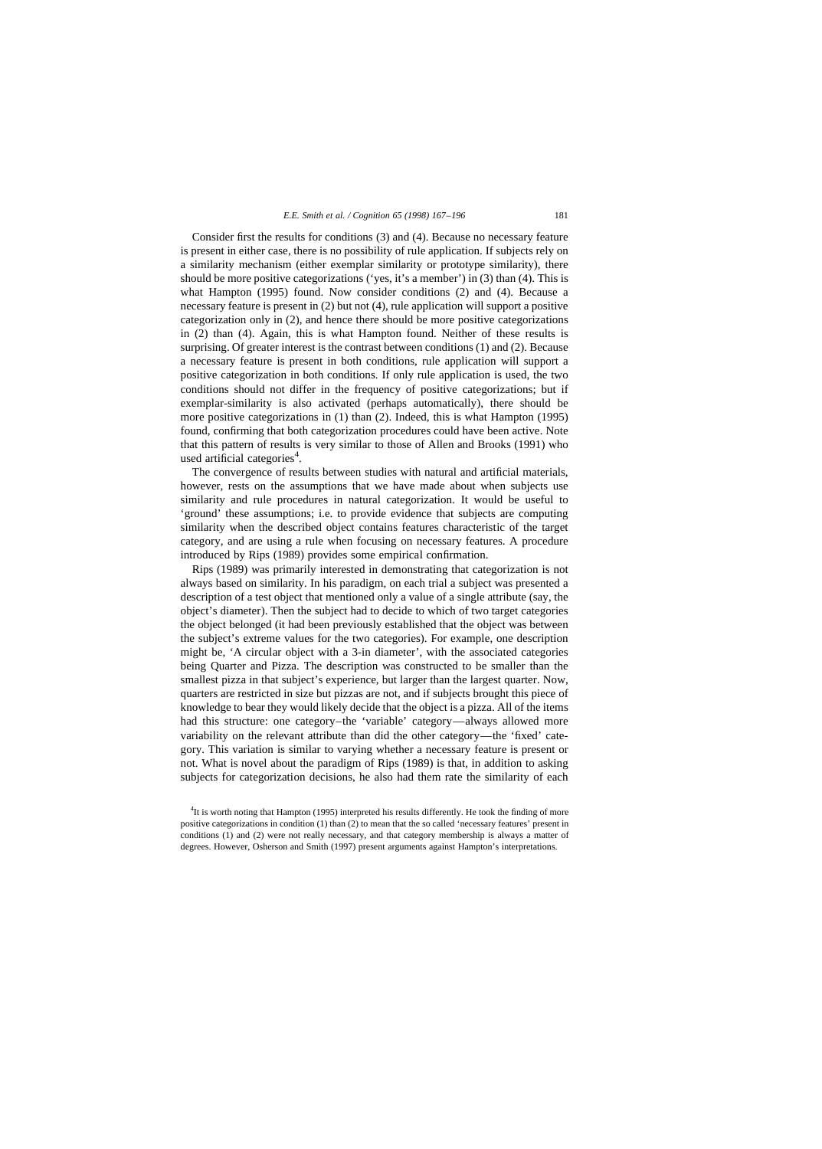Consider first the results for conditions (3) and (4). Because no necessary feature is present in either case, there is no possibility of rule application. If subjects rely on a similarity mechanism (either exemplar similarity or prototype similarity), there should be more positive categorizations ('yes, it's a member') in (3) than (4). This is what Hampton (1995) found. Now consider conditions (2) and (4). Because a necessary feature is present in (2) but not (4), rule application will support a positive categorization only in (2), and hence there should be more positive categorizations in (2) than (4). Again, this is what Hampton found. Neither of these results is surprising. Of greater interest is the contrast between conditions (1) and (2). Because a necessary feature is present in both conditions, rule application will support a positive categorization in both conditions. If only rule application is used, the two conditions should not differ in the frequency of positive categorizations; but if exemplar-similarity is also activated (perhaps automatically), there should be more positive categorizations in (1) than (2). Indeed, this is what Hampton (1995) found, confirming that both categorization procedures could have been active. Note that this pattern of results is very similar to those of Allen and Brooks (1991) who used artificial categories<sup>4</sup>.

The convergence of results between studies with natural and artificial materials, however, rests on the assumptions that we have made about when subjects use similarity and rule procedures in natural categorization. It would be useful to 'ground' these assumptions; i.e. to provide evidence that subjects are computing similarity when the described object contains features characteristic of the target category, and are using a rule when focusing on necessary features. A procedure introduced by Rips (1989) provides some empirical confirmation.

Rips (1989) was primarily interested in demonstrating that categorization is not always based on similarity. In his paradigm, on each trial a subject was presented a description of a test object that mentioned only a value of a single attribute (say, the object's diameter). Then the subject had to decide to which of two target categories the object belonged (it had been previously established that the object was between the subject's extreme values for the two categories). For example, one description might be, 'A circular object with a 3-in diameter', with the associated categories being Quarter and Pizza. The description was constructed to be smaller than the smallest pizza in that subject's experience, but larger than the largest quarter. Now, quarters are restricted in size but pizzas are not, and if subjects brought this piece of knowledge to bear they would likely decide that the object is a pizza. All of the items had this structure: one category–the 'variable' category—always allowed more variability on the relevant attribute than did the other category—the 'fixed' category. This variation is similar to varying whether a necessary feature is present or not. What is novel about the paradigm of Rips (1989) is that, in addition to asking subjects for categorization decisions, he also had them rate the similarity of each

<sup>&</sup>lt;sup>4</sup>It is worth noting that Hampton (1995) interpreted his results differently. He took the finding of more positive categorizations in condition (1) than (2) to mean that the so called 'necessary features' present in conditions (1) and (2) were not really necessary, and that category membership is always a matter of degrees. However, Osherson and Smith (1997) present arguments against Hampton's interpretations.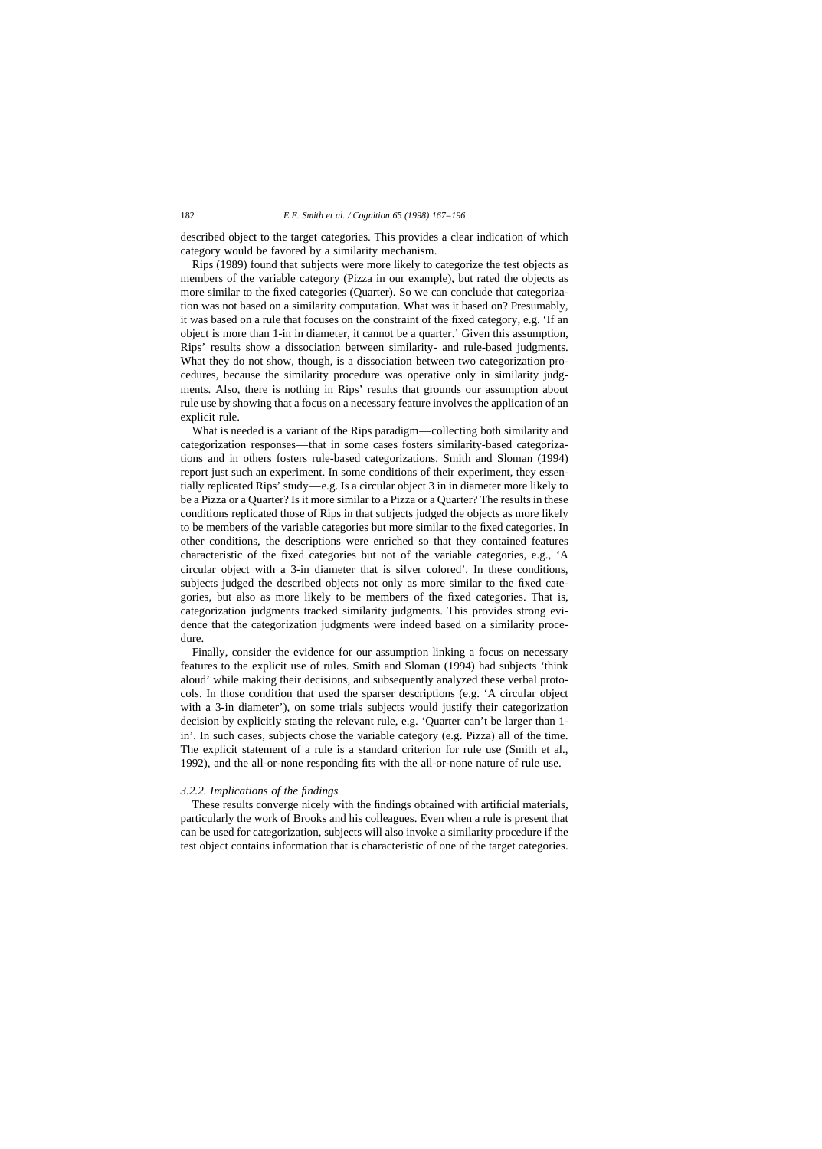described object to the target categories. This provides a clear indication of which category would be favored by a similarity mechanism.

Rips (1989) found that subjects were more likely to categorize the test objects as members of the variable category (Pizza in our example), but rated the objects as more similar to the fixed categories (Quarter). So we can conclude that categorization was not based on a similarity computation. What was it based on? Presumably, it was based on a rule that focuses on the constraint of the fixed category, e.g. 'If an object is more than 1-in in diameter, it cannot be a quarter.' Given this assumption, Rips' results show a dissociation between similarity- and rule-based judgments. What they do not show, though, is a dissociation between two categorization procedures, because the similarity procedure was operative only in similarity judgments. Also, there is nothing in Rips' results that grounds our assumption about rule use by showing that a focus on a necessary feature involves the application of an explicit rule.

What is needed is a variant of the Rips paradigm—collecting both similarity and categorization responses—that in some cases fosters similarity-based categorizations and in others fosters rule-based categorizations. Smith and Sloman (1994) report just such an experiment. In some conditions of their experiment, they essentially replicated Rips' study—e.g. Is a circular object 3 in in diameter more likely to be a Pizza or a Quarter? Is it more similar to a Pizza or a Quarter? The results in these conditions replicated those of Rips in that subjects judged the objects as more likely to be members of the variable categories but more similar to the fixed categories. In other conditions, the descriptions were enriched so that they contained features characteristic of the fixed categories but not of the variable categories, e.g., 'A circular object with a 3-in diameter that is silver colored'. In these conditions, subjects judged the described objects not only as more similar to the fixed categories, but also as more likely to be members of the fixed categories. That is, categorization judgments tracked similarity judgments. This provides strong evidence that the categorization judgments were indeed based on a similarity procedure.

Finally, consider the evidence for our assumption linking a focus on necessary features to the explicit use of rules. Smith and Sloman (1994) had subjects 'think aloud' while making their decisions, and subsequently analyzed these verbal protocols. In those condition that used the sparser descriptions (e.g. 'A circular object with a 3-in diameter'), on some trials subjects would justify their categorization decision by explicitly stating the relevant rule, e.g. 'Quarter can't be larger than 1 in'. In such cases, subjects chose the variable category (e.g. Pizza) all of the time. The explicit statement of a rule is a standard criterion for rule use (Smith et al., 1992), and the all-or-none responding fits with the all-or-none nature of rule use.

### *3.2.2. Implications of the findings*

These results converge nicely with the findings obtained with artificial materials, particularly the work of Brooks and his colleagues. Even when a rule is present that can be used for categorization, subjects will also invoke a similarity procedure if the test object contains information that is characteristic of one of the target categories.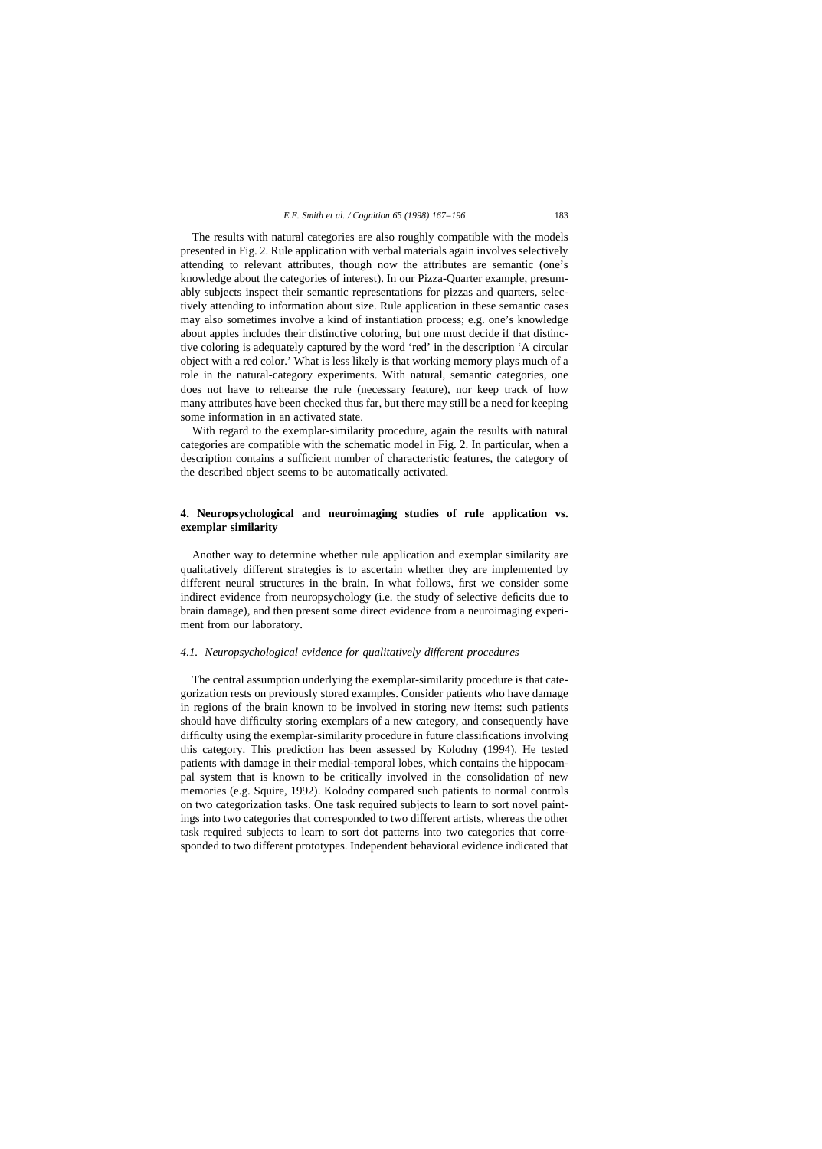The results with natural categories are also roughly compatible with the models presented in Fig. 2. Rule application with verbal materials again involves selectively attending to relevant attributes, though now the attributes are semantic (one's knowledge about the categories of interest). In our Pizza-Quarter example, presumably subjects inspect their semantic representations for pizzas and quarters, selectively attending to information about size. Rule application in these semantic cases may also sometimes involve a kind of instantiation process; e.g. one's knowledge about apples includes their distinctive coloring, but one must decide if that distinctive coloring is adequately captured by the word 'red' in the description 'A circular object with a red color.' What is less likely is that working memory plays much of a role in the natural-category experiments. With natural, semantic categories, one does not have to rehearse the rule (necessary feature), nor keep track of how many attributes have been checked thus far, but there may still be a need for keeping some information in an activated state.

With regard to the exemplar-similarity procedure, again the results with natural categories are compatible with the schematic model in Fig. 2. In particular, when a description contains a sufficient number of characteristic features, the category of the described object seems to be automatically activated.

## **4. Neuropsychological and neuroimaging studies of rule application vs. exemplar similarity**

Another way to determine whether rule application and exemplar similarity are qualitatively different strategies is to ascertain whether they are implemented by different neural structures in the brain. In what follows, first we consider some indirect evidence from neuropsychology (i.e. the study of selective deficits due to brain damage), and then present some direct evidence from a neuroimaging experiment from our laboratory.

## *4.1. Neuropsychological evidence for qualitatively different procedures*

The central assumption underlying the exemplar-similarity procedure is that categorization rests on previously stored examples. Consider patients who have damage in regions of the brain known to be involved in storing new items: such patients should have difficulty storing exemplars of a new category, and consequently have difficulty using the exemplar-similarity procedure in future classifications involving this category. This prediction has been assessed by Kolodny (1994). He tested patients with damage in their medial-temporal lobes, which contains the hippocampal system that is known to be critically involved in the consolidation of new memories (e.g. Squire, 1992). Kolodny compared such patients to normal controls on two categorization tasks. One task required subjects to learn to sort novel paintings into two categories that corresponded to two different artists, whereas the other task required subjects to learn to sort dot patterns into two categories that corresponded to two different prototypes. Independent behavioral evidence indicated that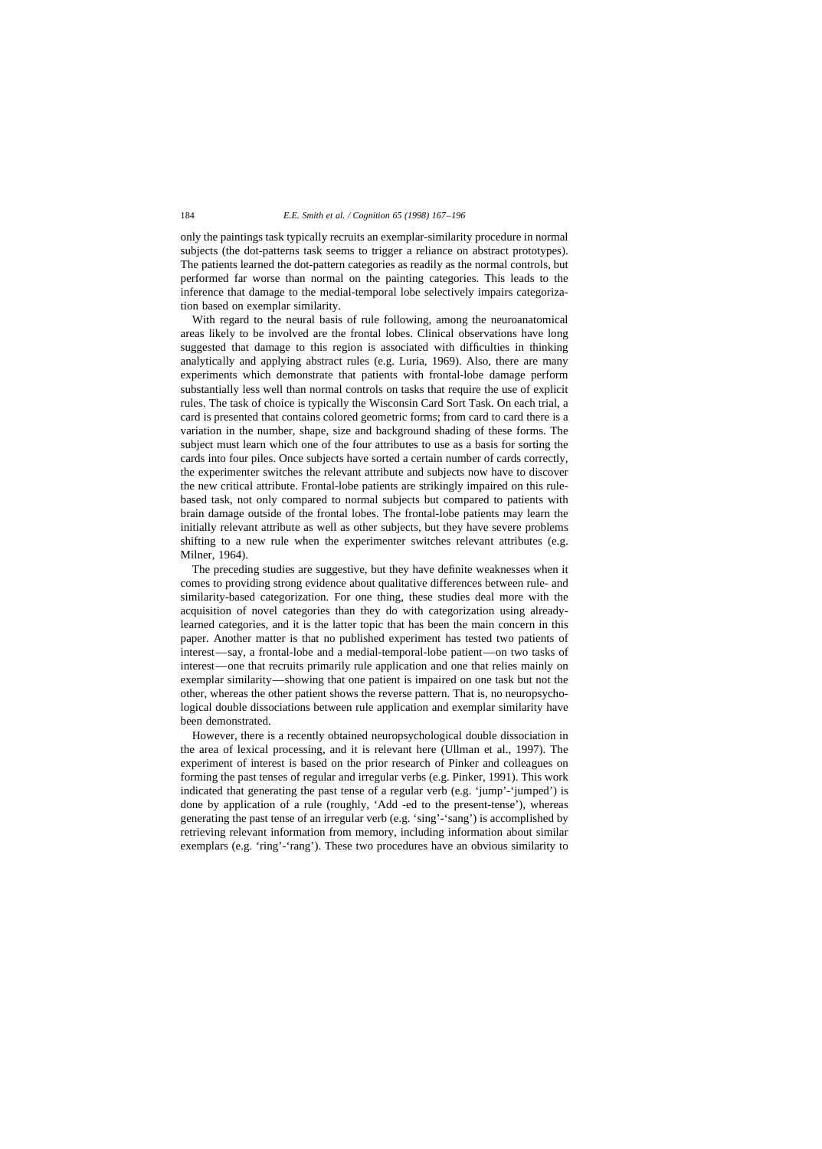only the paintings task typically recruits an exemplar-similarity procedure in normal subjects (the dot-patterns task seems to trigger a reliance on abstract prototypes). The patients learned the dot-pattern categories as readily as the normal controls, but performed far worse than normal on the painting categories. This leads to the inference that damage to the medial-temporal lobe selectively impairs categorization based on exemplar similarity.

With regard to the neural basis of rule following, among the neuroanatomical areas likely to be involved are the frontal lobes. Clinical observations have long suggested that damage to this region is associated with difficulties in thinking analytically and applying abstract rules (e.g. Luria, 1969). Also, there are many experiments which demonstrate that patients with frontal-lobe damage perform substantially less well than normal controls on tasks that require the use of explicit rules. The task of choice is typically the Wisconsin Card Sort Task. On each trial, a card is presented that contains colored geometric forms; from card to card there is a variation in the number, shape, size and background shading of these forms. The subject must learn which one of the four attributes to use as a basis for sorting the cards into four piles. Once subjects have sorted a certain number of cards correctly, the experimenter switches the relevant attribute and subjects now have to discover the new critical attribute. Frontal-lobe patients are strikingly impaired on this rulebased task, not only compared to normal subjects but compared to patients with brain damage outside of the frontal lobes. The frontal-lobe patients may learn the initially relevant attribute as well as other subjects, but they have severe problems shifting to a new rule when the experimenter switches relevant attributes (e.g. Milner, 1964).

The preceding studies are suggestive, but they have definite weaknesses when it comes to providing strong evidence about qualitative differences between rule- and similarity-based categorization. For one thing, these studies deal more with the acquisition of novel categories than they do with categorization using alreadylearned categories, and it is the latter topic that has been the main concern in this paper. Another matter is that no published experiment has tested two patients of interest—say, a frontal-lobe and a medial-temporal-lobe patient—on two tasks of interest—one that recruits primarily rule application and one that relies mainly on exemplar similarity—showing that one patient is impaired on one task but not the other, whereas the other patient shows the reverse pattern. That is, no neuropsychological double dissociations between rule application and exemplar similarity have been demonstrated.

However, there is a recently obtained neuropsychological double dissociation in the area of lexical processing, and it is relevant here (Ullman et al., 1997). The experiment of interest is based on the prior research of Pinker and colleagues on forming the past tenses of regular and irregular verbs (e.g. Pinker, 1991). This work indicated that generating the past tense of a regular verb (e.g. 'jump'-'jumped') is done by application of a rule (roughly, 'Add -ed to the present-tense'), whereas generating the past tense of an irregular verb (e.g. 'sing'-'sang') is accomplished by retrieving relevant information from memory, including information about similar exemplars (e.g. 'ring'-'rang'). These two procedures have an obvious similarity to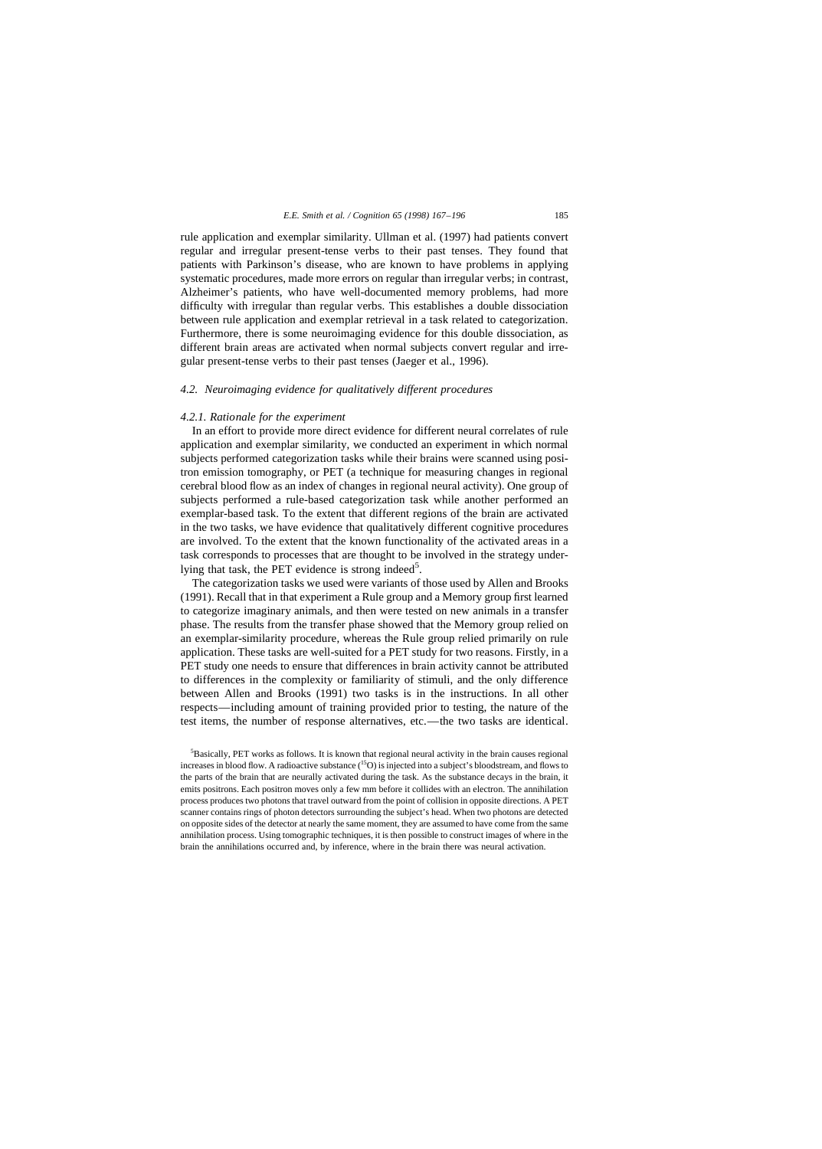rule application and exemplar similarity. Ullman et al. (1997) had patients convert regular and irregular present-tense verbs to their past tenses. They found that patients with Parkinson's disease, who are known to have problems in applying systematic procedures, made more errors on regular than irregular verbs; in contrast, Alzheimer's patients, who have well-documented memory problems, had more difficulty with irregular than regular verbs. This establishes a double dissociation between rule application and exemplar retrieval in a task related to categorization. Furthermore, there is some neuroimaging evidence for this double dissociation, as different brain areas are activated when normal subjects convert regular and irregular present-tense verbs to their past tenses (Jaeger et al., 1996).

#### *4.2. Neuroimaging evidence for qualitatively different procedures*

## *4.2.1. Rationale for the experiment*

In an effort to provide more direct evidence for different neural correlates of rule application and exemplar similarity, we conducted an experiment in which normal subjects performed categorization tasks while their brains were scanned using positron emission tomography, or PET (a technique for measuring changes in regional cerebral blood flow as an index of changes in regional neural activity). One group of subjects performed a rule-based categorization task while another performed an exemplar-based task. To the extent that different regions of the brain are activated in the two tasks, we have evidence that qualitatively different cognitive procedures are involved. To the extent that the known functionality of the activated areas in a task corresponds to processes that are thought to be involved in the strategy underlying that task, the PET evidence is strong indeed<sup>5</sup>.

The categorization tasks we used were variants of those used by Allen and Brooks (1991). Recall that in that experiment a Rule group and a Memory group first learned to categorize imaginary animals, and then were tested on new animals in a transfer phase. The results from the transfer phase showed that the Memory group relied on an exemplar-similarity procedure, whereas the Rule group relied primarily on rule application. These tasks are well-suited for a PET study for two reasons. Firstly, in a PET study one needs to ensure that differences in brain activity cannot be attributed to differences in the complexity or familiarity of stimuli, and the only difference between Allen and Brooks (1991) two tasks is in the instructions. In all other respects—including amount of training provided prior to testing, the nature of the test items, the number of response alternatives, etc.—the two tasks are identical.

5 Basically, PET works as follows. It is known that regional neural activity in the brain causes regional increases in blood flow. A radioactive substance (<sup>15</sup>O) is injected into a subject's bloodstream, and flows to the parts of the brain that are neurally activated during the task. As the substance decays in the brain, it emits positrons. Each positron moves only a few mm before it collides with an electron. The annihilation process produces two photons that travel outward from the point of collision in opposite directions. A PET scanner contains rings of photon detectors surrounding the subject's head. When two photons are detected on opposite sides of the detector at nearly the same moment, they are assumed to have come from the same annihilation process. Using tomographic techniques, it is then possible to construct images of where in the brain the annihilations occurred and, by inference, where in the brain there was neural activation.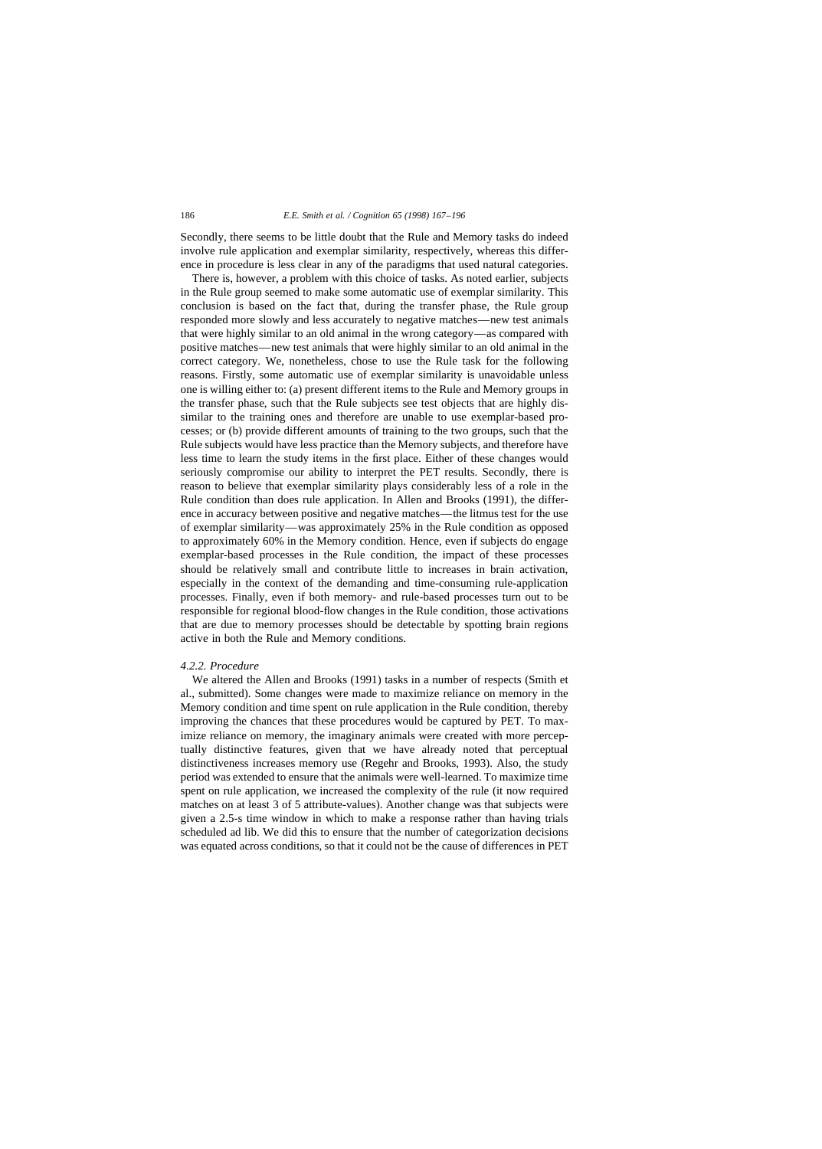Secondly, there seems to be little doubt that the Rule and Memory tasks do indeed involve rule application and exemplar similarity, respectively, whereas this difference in procedure is less clear in any of the paradigms that used natural categories.

There is, however, a problem with this choice of tasks. As noted earlier, subjects in the Rule group seemed to make some automatic use of exemplar similarity. This conclusion is based on the fact that, during the transfer phase, the Rule group responded more slowly and less accurately to negative matches—new test animals that were highly similar to an old animal in the wrong category—as compared with positive matches—new test animals that were highly similar to an old animal in the correct category. We, nonetheless, chose to use the Rule task for the following reasons. Firstly, some automatic use of exemplar similarity is unavoidable unless one is willing either to: (a) present different items to the Rule and Memory groups in the transfer phase, such that the Rule subjects see test objects that are highly dissimilar to the training ones and therefore are unable to use exemplar-based processes; or (b) provide different amounts of training to the two groups, such that the Rule subjects would have less practice than the Memory subjects, and therefore have less time to learn the study items in the first place. Either of these changes would seriously compromise our ability to interpret the PET results. Secondly, there is reason to believe that exemplar similarity plays considerably less of a role in the Rule condition than does rule application. In Allen and Brooks (1991), the difference in accuracy between positive and negative matches—the litmus test for the use of exemplar similarity—was approximately 25% in the Rule condition as opposed to approximately 60% in the Memory condition. Hence, even if subjects do engage exemplar-based processes in the Rule condition, the impact of these processes should be relatively small and contribute little to increases in brain activation, especially in the context of the demanding and time-consuming rule-application processes. Finally, even if both memory- and rule-based processes turn out to be responsible for regional blood-flow changes in the Rule condition, those activations that are due to memory processes should be detectable by spotting brain regions active in both the Rule and Memory conditions.

#### *4.2.2. Procedure*

We altered the Allen and Brooks (1991) tasks in a number of respects (Smith et al., submitted). Some changes were made to maximize reliance on memory in the Memory condition and time spent on rule application in the Rule condition, thereby improving the chances that these procedures would be captured by PET. To maximize reliance on memory, the imaginary animals were created with more perceptually distinctive features, given that we have already noted that perceptual distinctiveness increases memory use (Regehr and Brooks, 1993). Also, the study period was extended to ensure that the animals were well-learned. To maximize time spent on rule application, we increased the complexity of the rule (it now required matches on at least 3 of 5 attribute-values). Another change was that subjects were given a 2.5-s time window in which to make a response rather than having trials scheduled ad lib. We did this to ensure that the number of categorization decisions was equated across conditions, so that it could not be the cause of differences in PET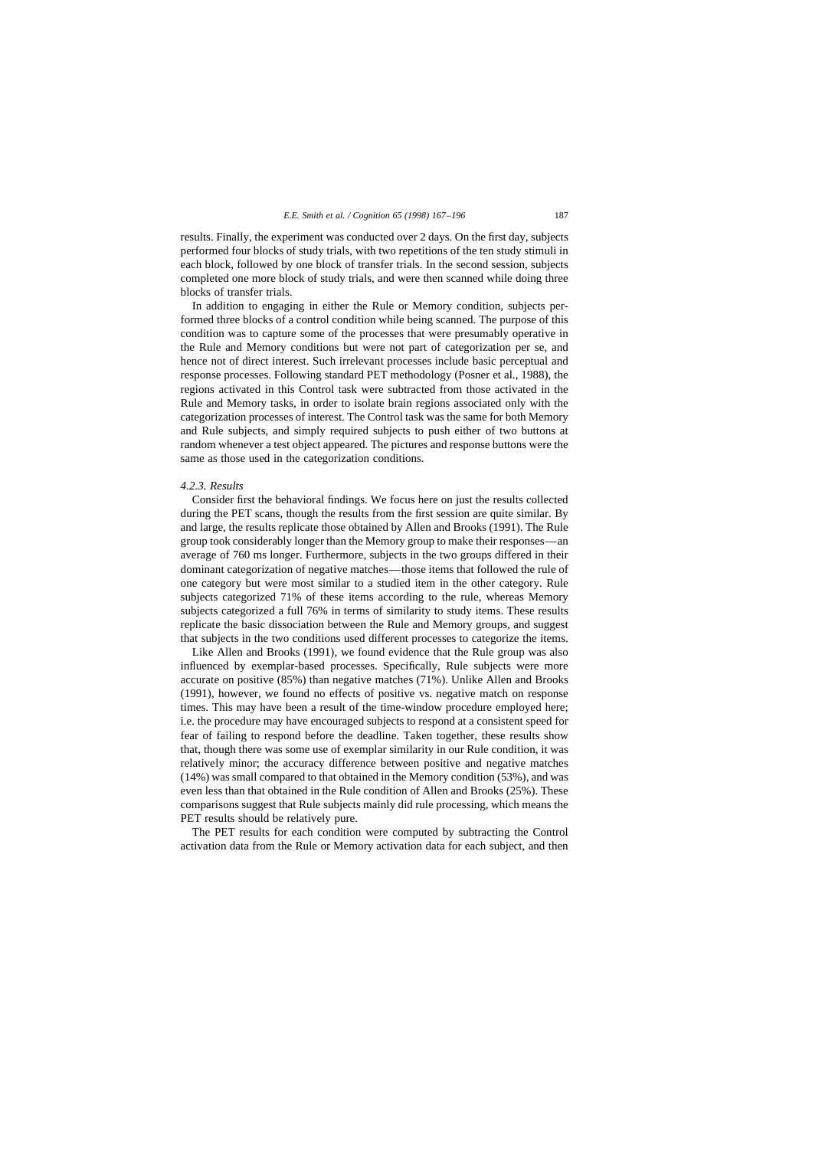results. Finally, the experiment was conducted over 2 days. On the first day, subjects performed four blocks of study trials, with two repetitions of the ten study stimuli in each block, followed by one block of transfer trials. In the second session, subjects completed one more block of study trials, and were then scanned while doing three blocks of transfer trials.

In addition to engaging in either the Rule or Memory condition, subjects performed three blocks of a control condition while being scanned. The purpose of this condition was to capture some of the processes that were presumably operative in the Rule and Memory conditions but were not part of categorization per se, and hence not of direct interest. Such irrelevant processes include basic perceptual and response processes. Following standard PET methodology (Posner et al., 1988), the regions activated in this Control task were subtracted from those activated in the Rule and Memory tasks, in order to isolate brain regions associated only with the categorization processes of interest. The Control task was the same for both Memory and Rule subjects, and simply required subjects to push either of two buttons at random whenever a test object appeared. The pictures and response buttons were the same as those used in the categorization conditions.

## *4.2.3. Results*

Consider first the behavioral findings. We focus here on just the results collected during the PET scans, though the results from the first session are quite similar. By and large, the results replicate those obtained by Allen and Brooks (1991). The Rule group took considerably longer than the Memory group to make their responses—an average of 760 ms longer. Furthermore, subjects in the two groups differed in their dominant categorization of negative matches—those items that followed the rule of one category but were most similar to a studied item in the other category. Rule subjects categorized 71% of these items according to the rule, whereas Memory subjects categorized a full 76% in terms of similarity to study items. These results replicate the basic dissociation between the Rule and Memory groups, and suggest that subjects in the two conditions used different processes to categorize the items.

Like Allen and Brooks (1991), we found evidence that the Rule group was also influenced by exemplar-based processes. Specifically, Rule subjects were more accurate on positive (85%) than negative matches (71%). Unlike Allen and Brooks (1991), however, we found no effects of positive vs. negative match on response times. This may have been a result of the time-window procedure employed here; i.e. the procedure may have encouraged subjects to respond at a consistent speed for fear of failing to respond before the deadline. Taken together, these results show that, though there was some use of exemplar similarity in our Rule condition, it was relatively minor; the accuracy difference between positive and negative matches (14%) was small compared to that obtained in the Memory condition (53%), and was even less than that obtained in the Rule condition of Allen and Brooks (25%). These comparisons suggest that Rule subjects mainly did rule processing, which means the PET results should be relatively pure.

The PET results for each condition were computed by subtracting the Control activation data from the Rule or Memory activation data for each subject, and then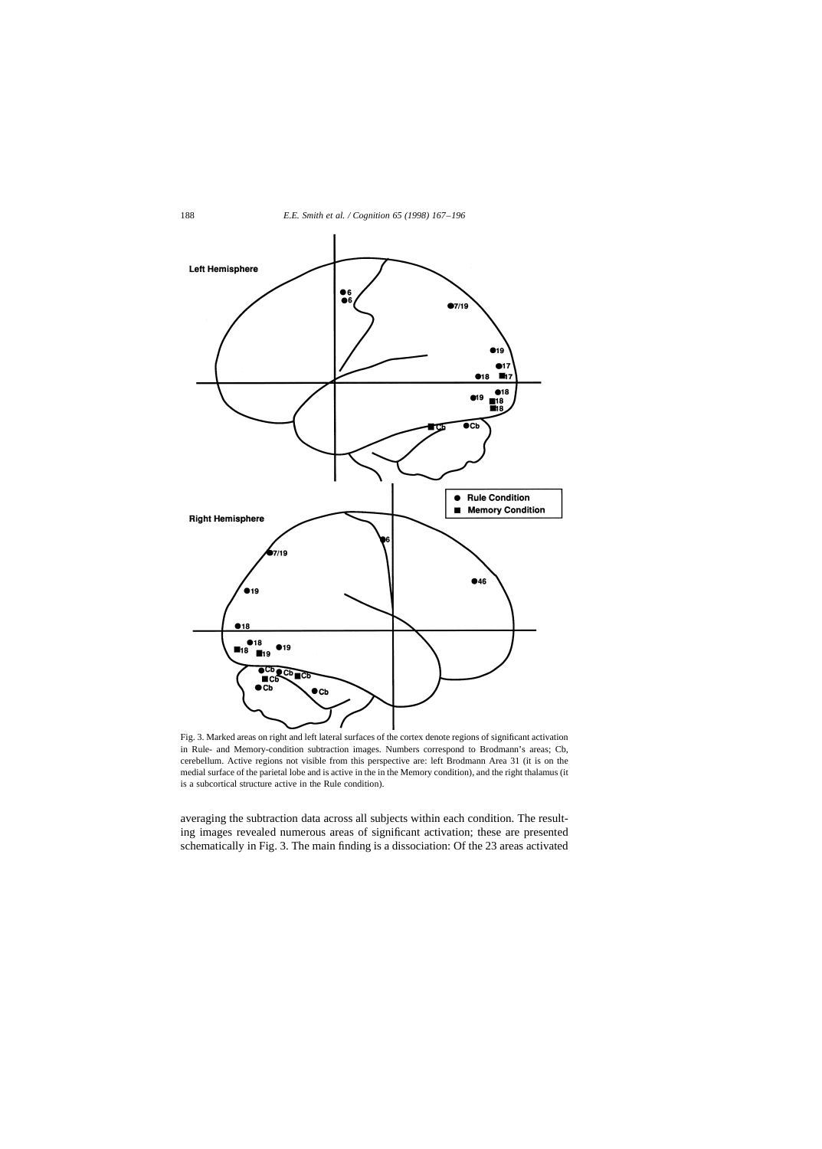![](_page_21_Figure_1.jpeg)

Fig. 3. Marked areas on right and left lateral surfaces of the cortex denote regions of significant activation in Rule- and Memory-condition subtraction images. Numbers correspond to Brodmann's areas; Cb, cerebellum. Active regions not visible from this perspective are: left Brodmann Area 31 (it is on the medial surface of the parietal lobe and is active in the in the Memory condition), and the right thalamus (it is a subcortical structure active in the Rule condition).

averaging the subtraction data across all subjects within each condition. The resulting images revealed numerous areas of significant activation; these are presented schematically in Fig. 3. The main finding is a dissociation: Of the 23 areas activated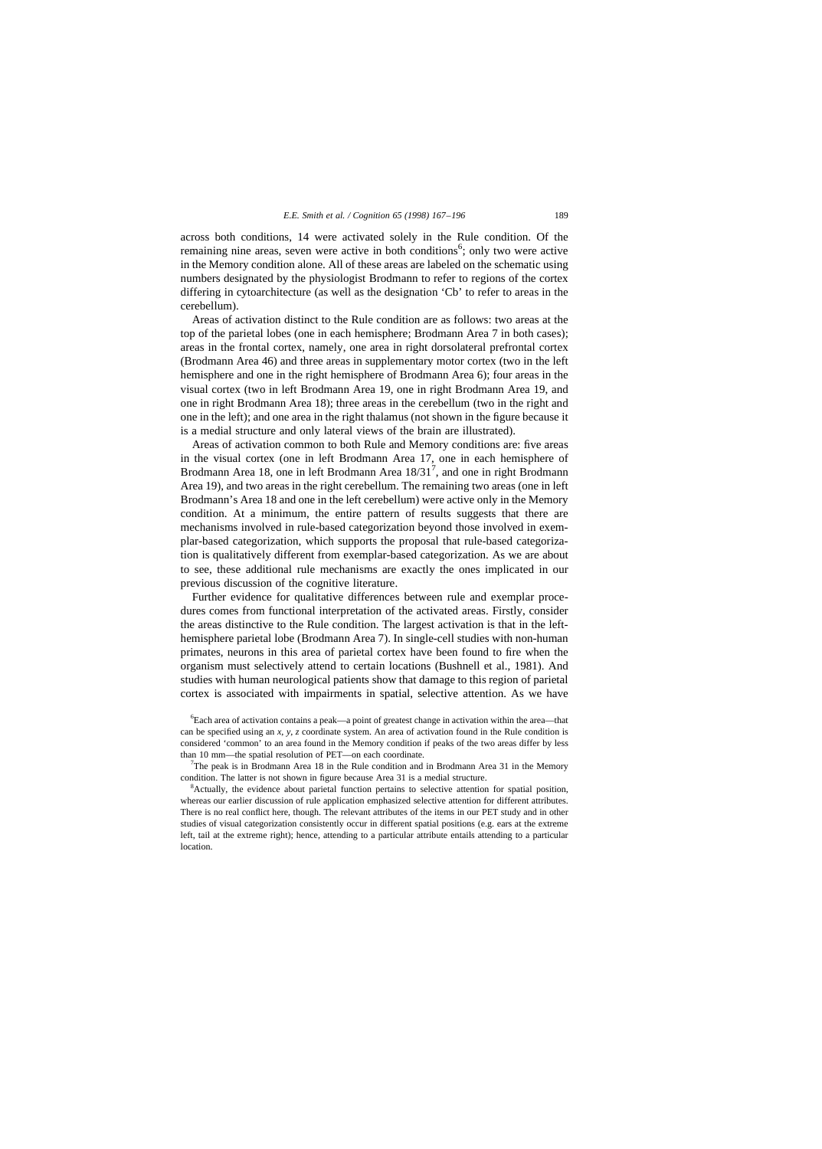across both conditions, 14 were activated solely in the Rule condition. Of the remaining nine areas, seven were active in both conditions<sup>6</sup>; only two were active in the Memory condition alone. All of these areas are labeled on the schematic using numbers designated by the physiologist Brodmann to refer to regions of the cortex differing in cytoarchitecture (as well as the designation 'Cb' to refer to areas in the cerebellum).

Areas of activation distinct to the Rule condition are as follows: two areas at the top of the parietal lobes (one in each hemisphere; Brodmann Area 7 in both cases); areas in the frontal cortex, namely, one area in right dorsolateral prefrontal cortex (Brodmann Area 46) and three areas in supplementary motor cortex (two in the left hemisphere and one in the right hemisphere of Brodmann Area 6); four areas in the visual cortex (two in left Brodmann Area 19, one in right Brodmann Area 19, and one in right Brodmann Area 18); three areas in the cerebellum (two in the right and one in the left); and one area in the right thalamus (not shown in the figure because it is a medial structure and only lateral views of the brain are illustrated).

Areas of activation common to both Rule and Memory conditions are: five areas in the visual cortex (one in left Brodmann Area 17, one in each hemisphere of Brodmann Area 18, one in left Brodmann Area  $18/31^7$ , and one in right Brodmann Area 19), and two areas in the right cerebellum. The remaining two areas (one in left Brodmann's Area 18 and one in the left cerebellum) were active only in the Memory condition. At a minimum, the entire pattern of results suggests that there are mechanisms involved in rule-based categorization beyond those involved in exemplar-based categorization, which supports the proposal that rule-based categorization is qualitatively different from exemplar-based categorization. As we are about to see, these additional rule mechanisms are exactly the ones implicated in our previous discussion of the cognitive literature.

Further evidence for qualitative differences between rule and exemplar procedures comes from functional interpretation of the activated areas. Firstly, consider the areas distinctive to the Rule condition. The largest activation is that in the lefthemisphere parietal lobe (Brodmann Area 7). In single-cell studies with non-human primates, neurons in this area of parietal cortex have been found to fire when the organism must selectively attend to certain locations (Bushnell et al., 1981). And studies with human neurological patients show that damage to this region of parietal cortex is associated with impairments in spatial, selective attention. As we have

6 Each area of activation contains a peak—a point of greatest change in activation within the area—that can be specified using an *x*, *y*, *z* coordinate system. An area of activation found in the Rule condition is considered 'common' to an area found in the Memory condition if peaks of the two areas differ by less than 10 mm—the spatial resolution of PET—on each coordinate.

<sup>7</sup>The peak is in Brodmann Area 18 in the Rule condition and in Brodmann Area 31 in the Memory condition. The latter is not shown in figure because Area 31 is a medial structure.

<sup>8</sup>Actually, the evidence about parietal function pertains to selective attention for spatial position, whereas our earlier discussion of rule application emphasized selective attention for different attributes. There is no real conflict here, though. The relevant attributes of the items in our PET study and in other studies of visual categorization consistently occur in different spatial positions (e.g. ears at the extreme left, tail at the extreme right); hence, attending to a particular attribute entails attending to a particular location.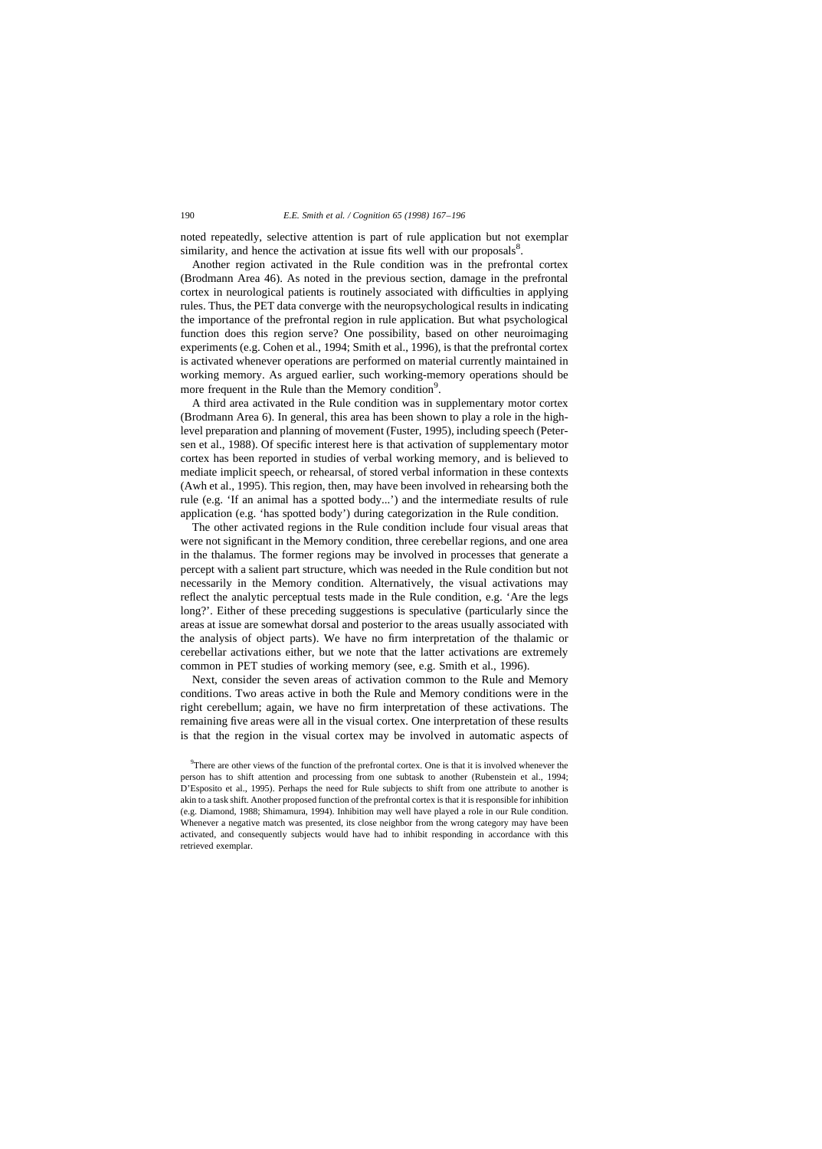noted repeatedly, selective attention is part of rule application but not exemplar similarity, and hence the activation at issue fits well with our proposals $8$ .

Another region activated in the Rule condition was in the prefrontal cortex (Brodmann Area 46). As noted in the previous section, damage in the prefrontal cortex in neurological patients is routinely associated with difficulties in applying rules. Thus, the PET data converge with the neuropsychological results in indicating the importance of the prefrontal region in rule application. But what psychological function does this region serve? One possibility, based on other neuroimaging experiments (e.g. Cohen et al., 1994; Smith et al., 1996), is that the prefrontal cortex is activated whenever operations are performed on material currently maintained in working memory. As argued earlier, such working-memory operations should be more frequent in the Rule than the Memory condition<sup>9</sup>.

A third area activated in the Rule condition was in supplementary motor cortex (Brodmann Area 6). In general, this area has been shown to play a role in the highlevel preparation and planning of movement (Fuster, 1995), including speech (Petersen et al., 1988). Of specific interest here is that activation of supplementary motor cortex has been reported in studies of verbal working memory, and is believed to mediate implicit speech, or rehearsal, of stored verbal information in these contexts (Awh et al., 1995). This region, then, may have been involved in rehearsing both the rule (e.g. 'If an animal has a spotted body...') and the intermediate results of rule application (e.g. 'has spotted body') during categorization in the Rule condition.

The other activated regions in the Rule condition include four visual areas that were not significant in the Memory condition, three cerebellar regions, and one area in the thalamus. The former regions may be involved in processes that generate a percept with a salient part structure, which was needed in the Rule condition but not necessarily in the Memory condition. Alternatively, the visual activations may reflect the analytic perceptual tests made in the Rule condition, e.g. 'Are the legs long?'. Either of these preceding suggestions is speculative (particularly since the areas at issue are somewhat dorsal and posterior to the areas usually associated with the analysis of object parts). We have no firm interpretation of the thalamic or cerebellar activations either, but we note that the latter activations are extremely common in PET studies of working memory (see, e.g. Smith et al., 1996).

Next, consider the seven areas of activation common to the Rule and Memory conditions. Two areas active in both the Rule and Memory conditions were in the right cerebellum; again, we have no firm interpretation of these activations. The remaining five areas were all in the visual cortex. One interpretation of these results is that the region in the visual cortex may be involved in automatic aspects of

<sup>&</sup>lt;sup>9</sup>There are other views of the function of the prefrontal cortex. One is that it is involved whenever the person has to shift attention and processing from one subtask to another (Rubenstein et al., 1994; D'Esposito et al., 1995). Perhaps the need for Rule subjects to shift from one attribute to another is akin to a task shift. Another proposed function of the prefrontal cortex is that it is responsible for inhibition (e.g. Diamond, 1988; Shimamura, 1994). Inhibition may well have played a role in our Rule condition. Whenever a negative match was presented, its close neighbor from the wrong category may have been activated, and consequently subjects would have had to inhibit responding in accordance with this retrieved exemplar.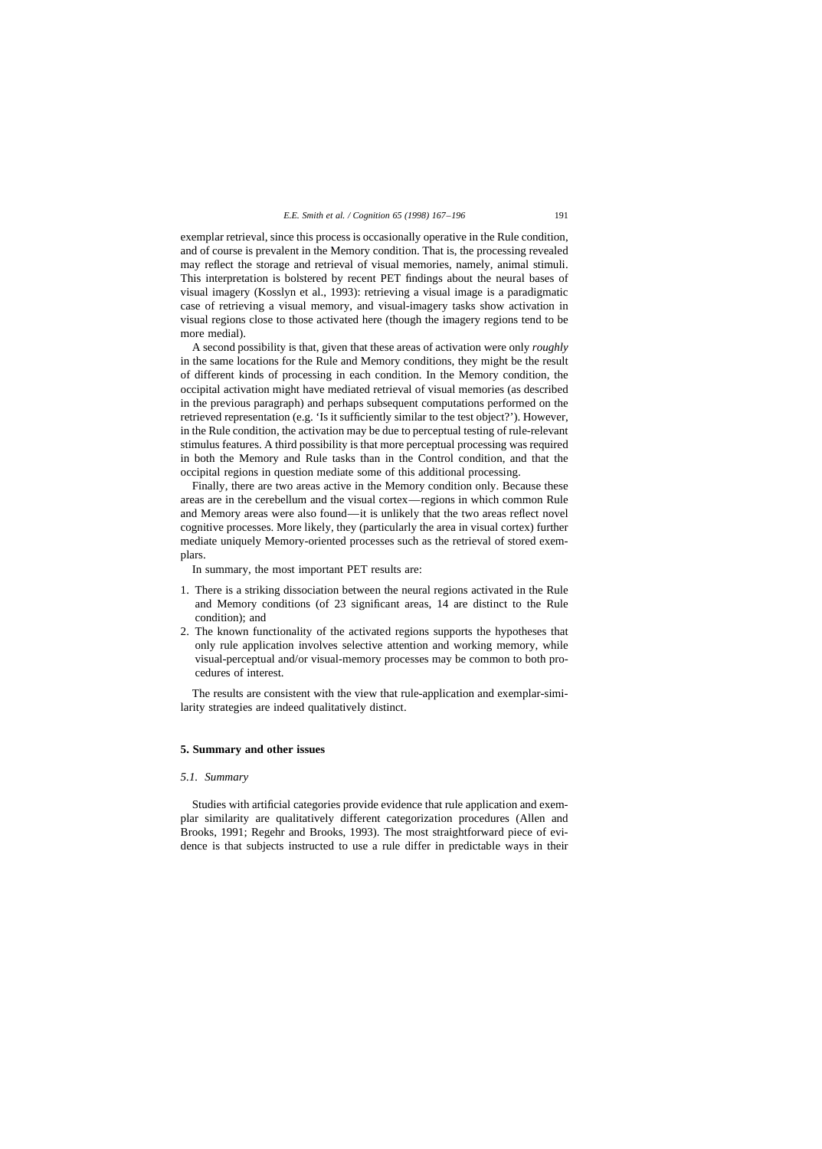exemplar retrieval, since this process is occasionally operative in the Rule condition, and of course is prevalent in the Memory condition. That is, the processing revealed may reflect the storage and retrieval of visual memories, namely, animal stimuli. This interpretation is bolstered by recent PET findings about the neural bases of visual imagery (Kosslyn et al., 1993): retrieving a visual image is a paradigmatic case of retrieving a visual memory, and visual-imagery tasks show activation in visual regions close to those activated here (though the imagery regions tend to be more medial).

A second possibility is that, given that these areas of activation were only *roughly* in the same locations for the Rule and Memory conditions, they might be the result of different kinds of processing in each condition. In the Memory condition, the occipital activation might have mediated retrieval of visual memories (as described in the previous paragraph) and perhaps subsequent computations performed on the retrieved representation (e.g. 'Is it sufficiently similar to the test object?'). However, in the Rule condition, the activation may be due to perceptual testing of rule-relevant stimulus features. A third possibility is that more perceptual processing was required in both the Memory and Rule tasks than in the Control condition, and that the occipital regions in question mediate some of this additional processing.

Finally, there are two areas active in the Memory condition only. Because these areas are in the cerebellum and the visual cortex—regions in which common Rule and Memory areas were also found—it is unlikely that the two areas reflect novel cognitive processes. More likely, they (particularly the area in visual cortex) further mediate uniquely Memory-oriented processes such as the retrieval of stored exemplars.

In summary, the most important PET results are:

- 1. There is a striking dissociation between the neural regions activated in the Rule and Memory conditions (of 23 significant areas, 14 are distinct to the Rule condition); and
- 2. The known functionality of the activated regions supports the hypotheses that only rule application involves selective attention and working memory, while visual-perceptual and/or visual-memory processes may be common to both procedures of interest.

The results are consistent with the view that rule-application and exemplar-similarity strategies are indeed qualitatively distinct.

## **5. Summary and other issues**

#### *5.1. Summary*

Studies with artificial categories provide evidence that rule application and exemplar similarity are qualitatively different categorization procedures (Allen and Brooks, 1991; Regehr and Brooks, 1993). The most straightforward piece of evidence is that subjects instructed to use a rule differ in predictable ways in their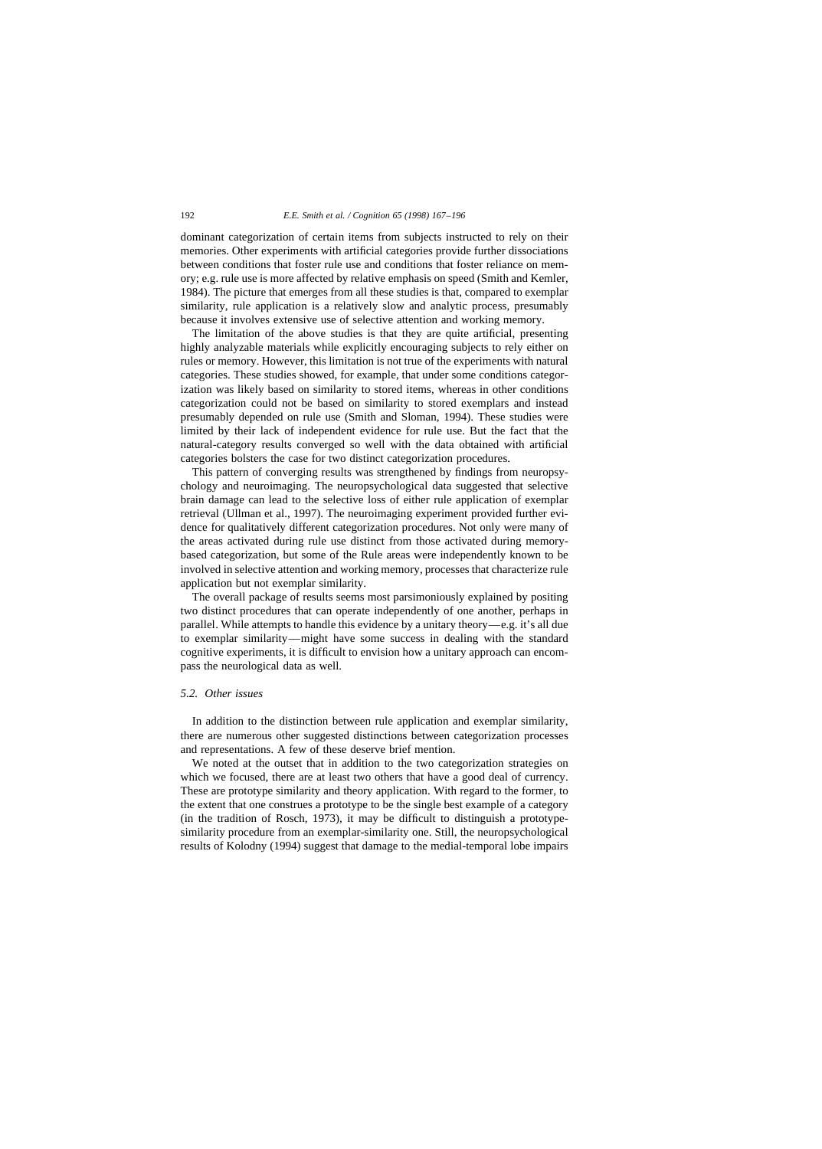dominant categorization of certain items from subjects instructed to rely on their memories. Other experiments with artificial categories provide further dissociations between conditions that foster rule use and conditions that foster reliance on memory; e.g. rule use is more affected by relative emphasis on speed (Smith and Kemler, 1984). The picture that emerges from all these studies is that, compared to exemplar similarity, rule application is a relatively slow and analytic process, presumably because it involves extensive use of selective attention and working memory.

The limitation of the above studies is that they are quite artificial, presenting highly analyzable materials while explicitly encouraging subjects to rely either on rules or memory. However, this limitation is not true of the experiments with natural categories. These studies showed, for example, that under some conditions categorization was likely based on similarity to stored items, whereas in other conditions categorization could not be based on similarity to stored exemplars and instead presumably depended on rule use (Smith and Sloman, 1994). These studies were limited by their lack of independent evidence for rule use. But the fact that the natural-category results converged so well with the data obtained with artificial categories bolsters the case for two distinct categorization procedures.

This pattern of converging results was strengthened by findings from neuropsychology and neuroimaging. The neuropsychological data suggested that selective brain damage can lead to the selective loss of either rule application of exemplar retrieval (Ullman et al., 1997). The neuroimaging experiment provided further evidence for qualitatively different categorization procedures. Not only were many of the areas activated during rule use distinct from those activated during memorybased categorization, but some of the Rule areas were independently known to be involved in selective attention and working memory, processes that characterize rule application but not exemplar similarity.

The overall package of results seems most parsimoniously explained by positing two distinct procedures that can operate independently of one another, perhaps in parallel. While attempts to handle this evidence by a unitary theory—e.g. it's all due to exemplar similarity—might have some success in dealing with the standard cognitive experiments, it is difficult to envision how a unitary approach can encompass the neurological data as well.

## *5.2. Other issues*

In addition to the distinction between rule application and exemplar similarity, there are numerous other suggested distinctions between categorization processes and representations. A few of these deserve brief mention.

We noted at the outset that in addition to the two categorization strategies on which we focused, there are at least two others that have a good deal of currency. These are prototype similarity and theory application. With regard to the former, to the extent that one construes a prototype to be the single best example of a category (in the tradition of Rosch, 1973), it may be difficult to distinguish a prototypesimilarity procedure from an exemplar-similarity one. Still, the neuropsychological results of Kolodny (1994) suggest that damage to the medial-temporal lobe impairs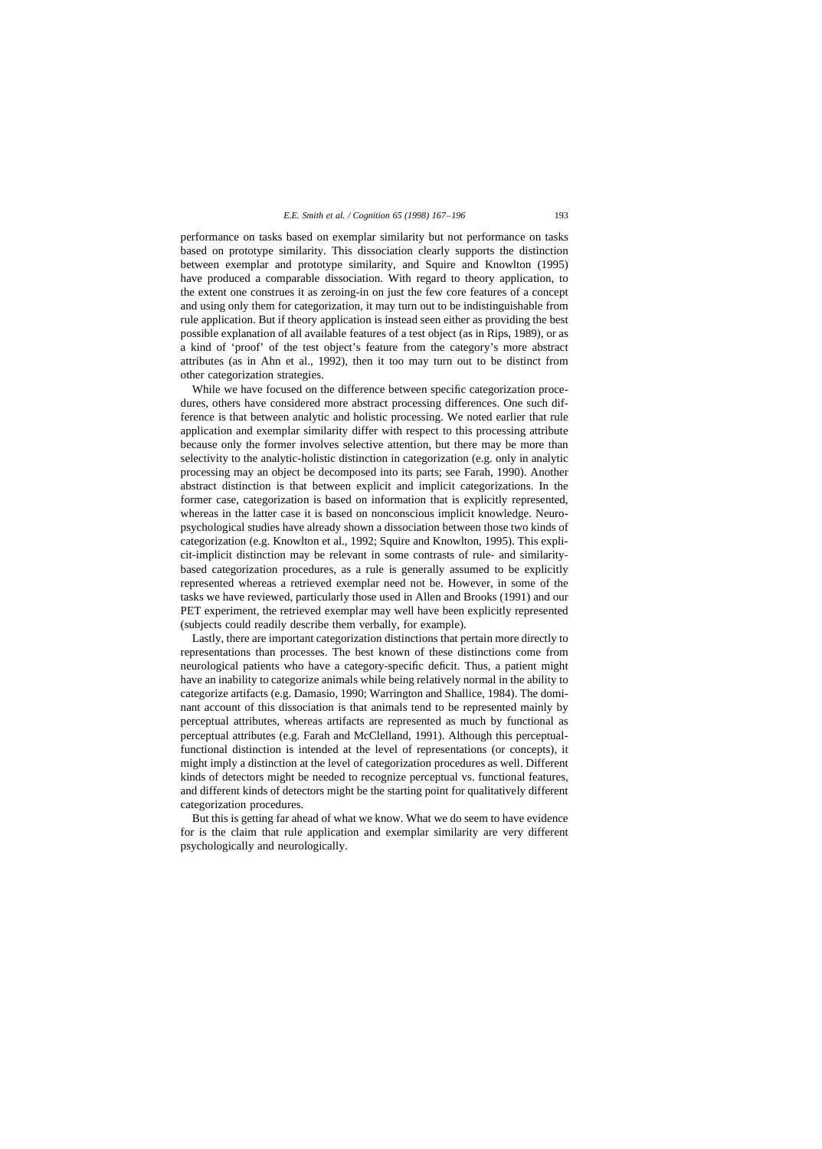performance on tasks based on exemplar similarity but not performance on tasks based on prototype similarity. This dissociation clearly supports the distinction between exemplar and prototype similarity, and Squire and Knowlton (1995) have produced a comparable dissociation. With regard to theory application, to the extent one construes it as zeroing-in on just the few core features of a concept and using only them for categorization, it may turn out to be indistinguishable from rule application. But if theory application is instead seen either as providing the best possible explanation of all available features of a test object (as in Rips, 1989), or as a kind of 'proof' of the test object's feature from the category's more abstract attributes (as in Ahn et al., 1992), then it too may turn out to be distinct from other categorization strategies.

While we have focused on the difference between specific categorization procedures, others have considered more abstract processing differences. One such difference is that between analytic and holistic processing. We noted earlier that rule application and exemplar similarity differ with respect to this processing attribute because only the former involves selective attention, but there may be more than selectivity to the analytic-holistic distinction in categorization (e.g. only in analytic processing may an object be decomposed into its parts; see Farah, 1990). Another abstract distinction is that between explicit and implicit categorizations. In the former case, categorization is based on information that is explicitly represented, whereas in the latter case it is based on nonconscious implicit knowledge. Neuropsychological studies have already shown a dissociation between those two kinds of categorization (e.g. Knowlton et al., 1992; Squire and Knowlton, 1995). This explicit-implicit distinction may be relevant in some contrasts of rule- and similaritybased categorization procedures, as a rule is generally assumed to be explicitly represented whereas a retrieved exemplar need not be. However, in some of the tasks we have reviewed, particularly those used in Allen and Brooks (1991) and our PET experiment, the retrieved exemplar may well have been explicitly represented (subjects could readily describe them verbally, for example).

Lastly, there are important categorization distinctions that pertain more directly to representations than processes. The best known of these distinctions come from neurological patients who have a category-specific deficit. Thus, a patient might have an inability to categorize animals while being relatively normal in the ability to categorize artifacts (e.g. Damasio, 1990; Warrington and Shallice, 1984). The dominant account of this dissociation is that animals tend to be represented mainly by perceptual attributes, whereas artifacts are represented as much by functional as perceptual attributes (e.g. Farah and McClelland, 1991). Although this perceptualfunctional distinction is intended at the level of representations (or concepts), it might imply a distinction at the level of categorization procedures as well. Different kinds of detectors might be needed to recognize perceptual vs. functional features, and different kinds of detectors might be the starting point for qualitatively different categorization procedures.

But this is getting far ahead of what we know. What we do seem to have evidence for is the claim that rule application and exemplar similarity are very different psychologically and neurologically.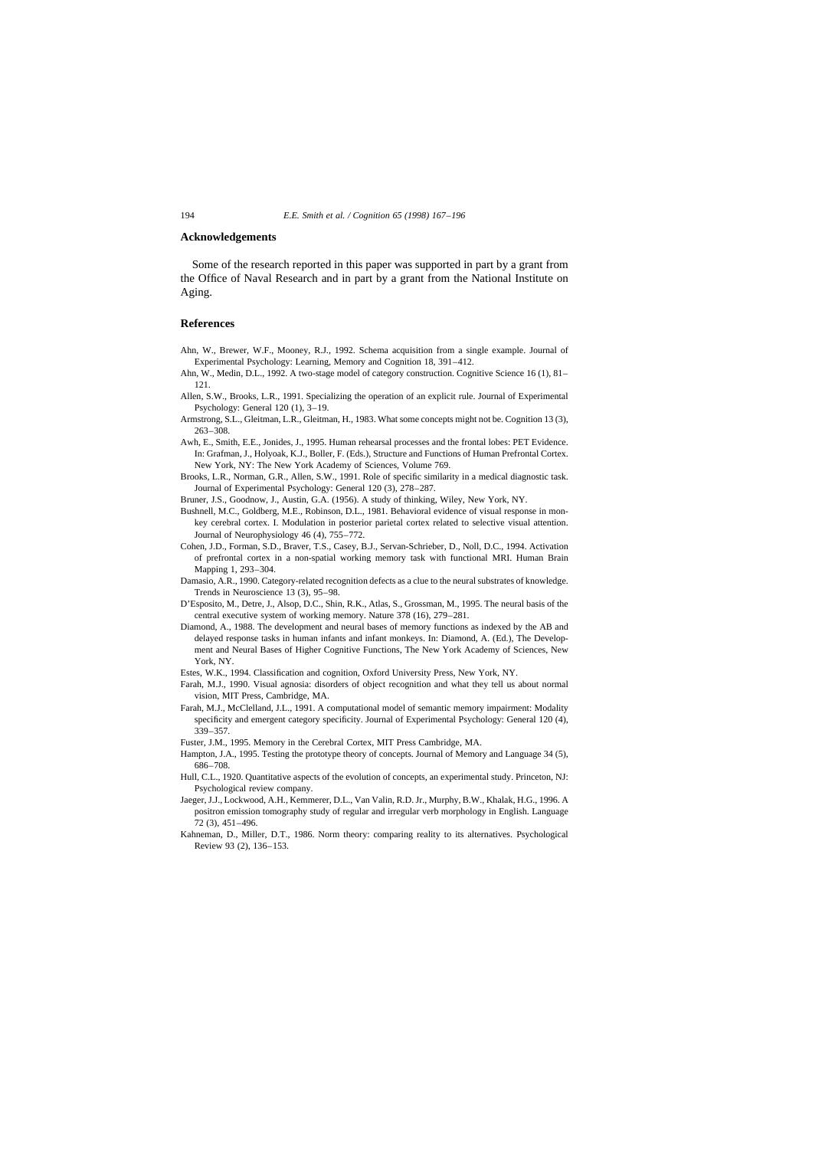#### **Acknowledgements**

Some of the research reported in this paper was supported in part by a grant from the Office of Naval Research and in part by a grant from the National Institute on Aging.

#### **References**

- Ahn, W., Brewer, W.F., Mooney, R.J., 1992. Schema acquisition from a single example. Journal of Experimental Psychology: Learning, Memory and Cognition 18, 391–412.
- Ahn, W., Medin, D.L., 1992. A two-stage model of category construction. Cognitive Science 16 (1), 81– 121.
- Allen, S.W., Brooks, L.R., 1991. Specializing the operation of an explicit rule. Journal of Experimental Psychology: General 120 (1), 3–19.
- Armstrong, S.L., Gleitman, L.R., Gleitman, H., 1983. What some concepts might not be. Cognition 13 (3), 263–308.
- Awh, E., Smith, E.E., Jonides, J., 1995. Human rehearsal processes and the frontal lobes: PET Evidence. In: Grafman, J., Holyoak, K.J., Boller, F. (Eds.), Structure and Functions of Human Prefrontal Cortex. New York, NY: The New York Academy of Sciences, Volume 769.
- Brooks, L.R., Norman, G.R., Allen, S.W., 1991. Role of specific similarity in a medical diagnostic task. Journal of Experimental Psychology: General 120 (3), 278–287.
- Bruner, J.S., Goodnow, J., Austin, G.A. (1956). A study of thinking, Wiley, New York, NY.
- Bushnell, M.C., Goldberg, M.E., Robinson, D.L., 1981. Behavioral evidence of visual response in monkey cerebral cortex. I. Modulation in posterior parietal cortex related to selective visual attention. Journal of Neurophysiology 46 (4), 755–772.
- Cohen, J.D., Forman, S.D., Braver, T.S., Casey, B.J., Servan-Schrieber, D., Noll, D.C., 1994. Activation of prefrontal cortex in a non-spatial working memory task with functional MRI. Human Brain Mapping 1, 293–304.
- Damasio, A.R., 1990. Category-related recognition defects as a clue to the neural substrates of knowledge. Trends in Neuroscience 13 (3), 95–98.
- D'Esposito, M., Detre, J., Alsop, D.C., Shin, R.K., Atlas, S., Grossman, M., 1995. The neural basis of the central executive system of working memory. Nature 378 (16), 279–281.
- Diamond, A., 1988. The development and neural bases of memory functions as indexed by the AB and delayed response tasks in human infants and infant monkeys. In: Diamond, A. (Ed.), The Development and Neural Bases of Higher Cognitive Functions, The New York Academy of Sciences, New York, NY.
- Estes, W.K., 1994. Classification and cognition, Oxford University Press, New York, NY.
- Farah, M.J., 1990. Visual agnosia: disorders of object recognition and what they tell us about normal vision, MIT Press, Cambridge, MA.
- Farah, M.J., McClelland, J.L., 1991. A computational model of semantic memory impairment: Modality specificity and emergent category specificity. Journal of Experimental Psychology: General 120 (4), 339–357.
- Fuster, J.M., 1995. Memory in the Cerebral Cortex, MIT Press Cambridge, MA.
- Hampton, J.A., 1995. Testing the prototype theory of concepts. Journal of Memory and Language 34 (5), 686–708.
- Hull, C.L., 1920. Quantitative aspects of the evolution of concepts, an experimental study. Princeton, NJ: Psychological review company.
- Jaeger, J.J., Lockwood, A.H., Kemmerer, D.L., Van Valin, R.D. Jr., Murphy, B.W., Khalak, H.G., 1996. A positron emission tomography study of regular and irregular verb morphology in English. Language 72 (3), 451–496.
- Kahneman, D., Miller, D.T., 1986. Norm theory: comparing reality to its alternatives. Psychological Review 93 (2), 136–153.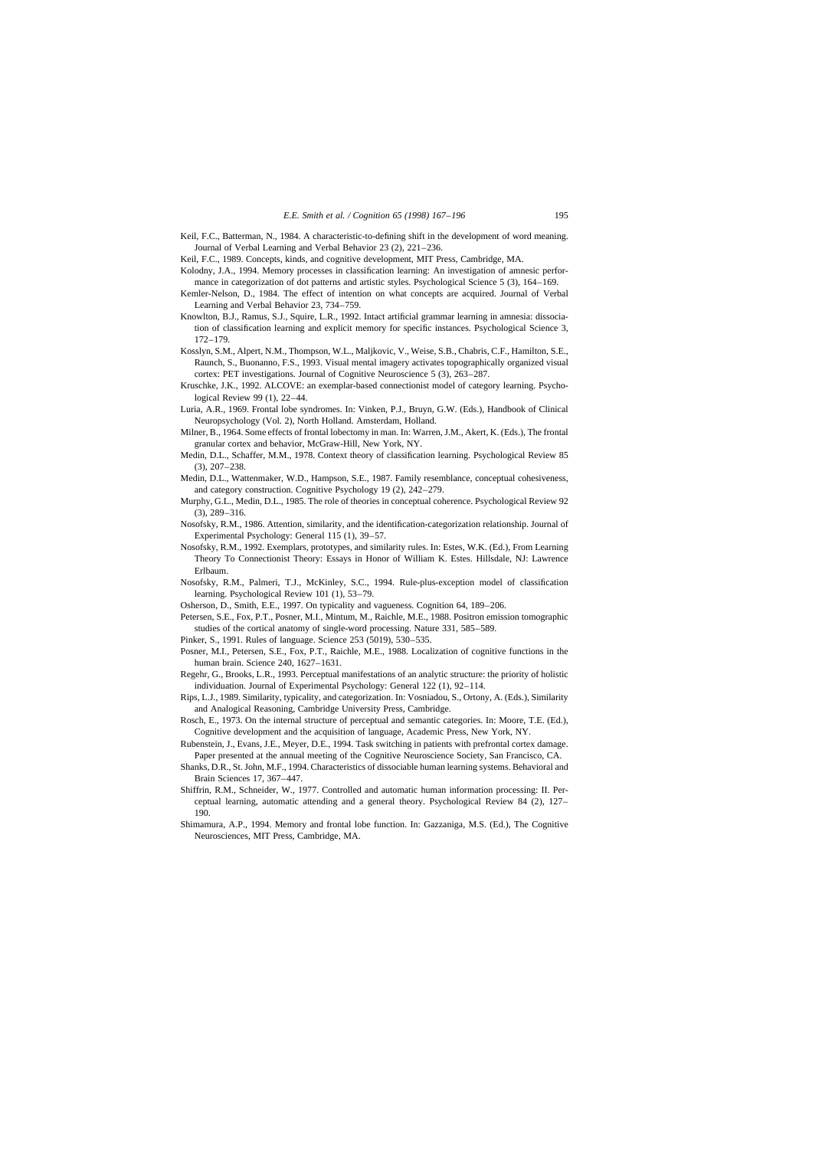- Keil, F.C., Batterman, N., 1984. A characteristic-to-defining shift in the development of word meaning. Journal of Verbal Learning and Verbal Behavior 23 (2), 221–236.
- Keil, F.C., 1989. Concepts, kinds, and cognitive development, MIT Press, Cambridge, MA.
- Kolodny, J.A., 1994. Memory processes in classification learning: An investigation of amnesic performance in categorization of dot patterns and artistic styles. Psychological Science 5 (3), 164–169.
- Kemler-Nelson, D., 1984. The effect of intention on what concepts are acquired. Journal of Verbal Learning and Verbal Behavior 23, 734–759.
- Knowlton, B.J., Ramus, S.J., Squire, L.R., 1992. Intact artificial grammar learning in amnesia: dissociation of classification learning and explicit memory for specific instances. Psychological Science 3, 172–179.
- Kosslyn, S.M., Alpert, N.M., Thompson, W.L., Maljkovic, V., Weise, S.B., Chabris, C.F., Hamilton, S.E., Raunch, S., Buonanno, F.S., 1993. Visual mental imagery activates topographically organized visual cortex: PET investigations. Journal of Cognitive Neuroscience 5 (3), 263–287.
- Kruschke, J.K., 1992. ALCOVE: an exemplar-based connectionist model of category learning. Psychological Review 99 (1), 22–44.
- Luria, A.R., 1969. Frontal lobe syndromes. In: Vinken, P.J., Bruyn, G.W. (Eds.), Handbook of Clinical Neuropsychology (Vol. 2), North Holland. Amsterdam, Holland.
- Milner, B., 1964. Some effects of frontal lobectomy in man. In: Warren, J.M., Akert, K. (Eds.), The frontal granular cortex and behavior, McGraw-Hill, New York, NY.
- Medin, D.L., Schaffer, M.M., 1978. Context theory of classification learning. Psychological Review 85 (3), 207–238.
- Medin, D.L., Wattenmaker, W.D., Hampson, S.E., 1987. Family resemblance, conceptual cohesiveness, and category construction. Cognitive Psychology 19 (2), 242–279.
- Murphy, G.L., Medin, D.L., 1985. The role of theories in conceptual coherence. Psychological Review 92 (3), 289–316.
- Nosofsky, R.M., 1986. Attention, similarity, and the identification-categorization relationship. Journal of Experimental Psychology: General 115 (1), 39–57.
- Nosofsky, R.M., 1992. Exemplars, prototypes, and similarity rules. In: Estes, W.K. (Ed.), From Learning Theory To Connectionist Theory: Essays in Honor of William K. Estes. Hillsdale, NJ: Lawrence Erlbaum.
- Nosofsky, R.M., Palmeri, T.J., McKinley, S.C., 1994. Rule-plus-exception model of classification learning. Psychological Review 101 (1), 53–79.
- Osherson, D., Smith, E.E., 1997. On typicality and vagueness. Cognition 64, 189–206.
- Petersen, S.E., Fox, P.T., Posner, M.I., Mintum, M., Raichle, M.E., 1988. Positron emission tomographic studies of the cortical anatomy of single-word processing. Nature 331, 585–589.
- Pinker, S., 1991. Rules of language. Science 253 (5019), 530–535.
- Posner, M.I., Petersen, S.E., Fox, P.T., Raichle, M.E., 1988. Localization of cognitive functions in the human brain. Science 240, 1627–1631.
- Regehr, G., Brooks, L.R., 1993. Perceptual manifestations of an analytic structure: the priority of holistic individuation. Journal of Experimental Psychology: General 122 (1), 92–114.
- Rips, L.J., 1989. Similarity, typicality, and categorization. In: Vosniadou, S., Ortony, A. (Eds.), Similarity and Analogical Reasoning, Cambridge University Press, Cambridge.
- Rosch, E., 1973. On the internal structure of perceptual and semantic categories. In: Moore, T.E. (Ed.), Cognitive development and the acquisition of language, Academic Press, New York, NY.
- Rubenstein, J., Evans, J.E., Meyer, D.E., 1994. Task switching in patients with prefrontal cortex damage. Paper presented at the annual meeting of the Cognitive Neuroscience Society, San Francisco, CA.
- Shanks, D.R., St. John, M.F., 1994. Characteristics of dissociable human learning systems. Behavioral and Brain Sciences 17, 367–447.
- Shiffrin, R.M., Schneider, W., 1977. Controlled and automatic human information processing: II. Perceptual learning, automatic attending and a general theory. Psychological Review 84 (2), 127– 190.
- Shimamura, A.P., 1994. Memory and frontal lobe function. In: Gazzaniga, M.S. (Ed.), The Cognitive Neurosciences, MIT Press, Cambridge, MA.